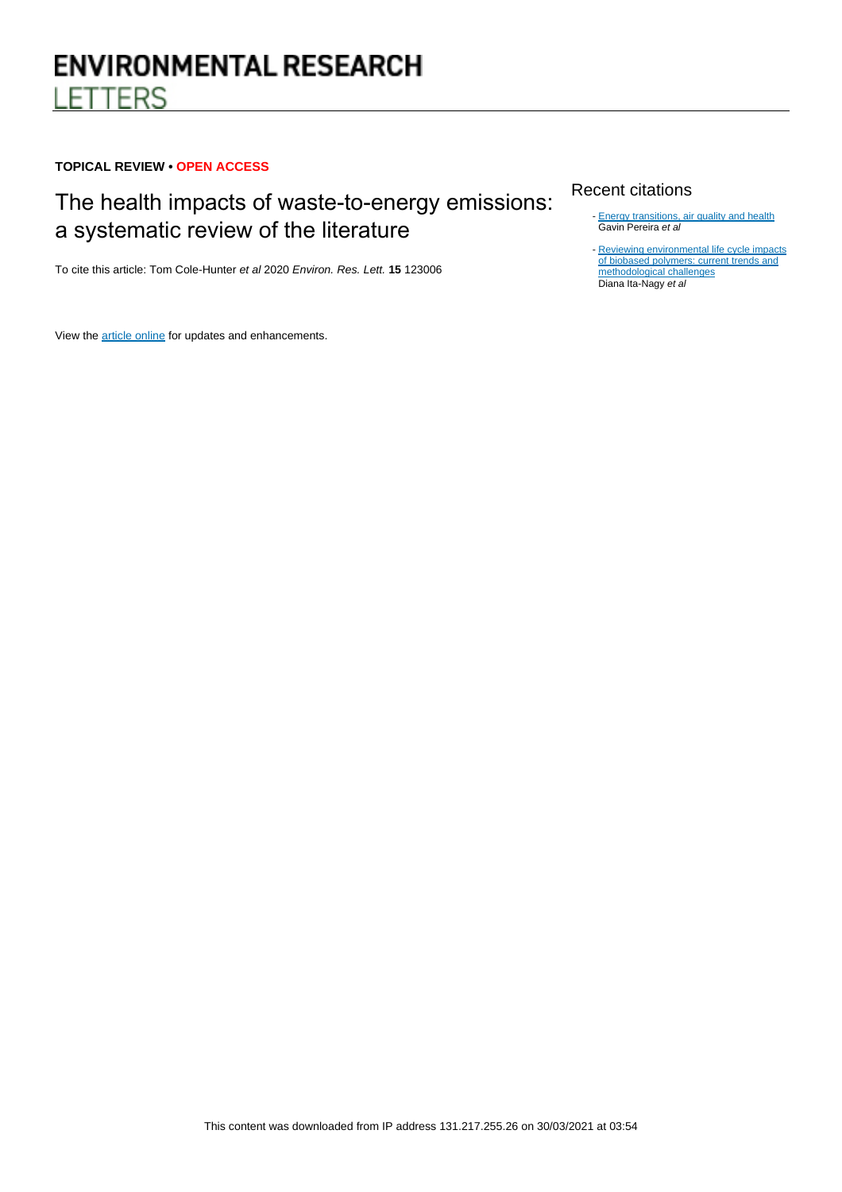# **ENVIRONMENTAL RESEARCH LETTERS**

# **TOPICAL REVIEW • OPEN ACCESS**

# The health impacts of waste-to-energy emissions: a systematic review of the literature

To cite this article: Tom Cole-Hunter et al 2020 Environ. Res. Lett. **15** 123006

View the [article online](https://doi.org/10.1088/1748-9326/abae9f) for updates and enhancements.

# Recent citations

- [Energy transitions, air quality and health](http://dx.doi.org/10.1088/1748-9326/abdaea)<br>Gavin Pereira *et al*
- [Reviewing environmental life cycle impacts](http://dx.doi.org/10.1007/s11367-020-01829-2) [of biobased polymers: current trends and](http://dx.doi.org/10.1007/s11367-020-01829-2) [methodological challenges](http://dx.doi.org/10.1007/s11367-020-01829-2)<br>Diana Ita-Nagy *et al*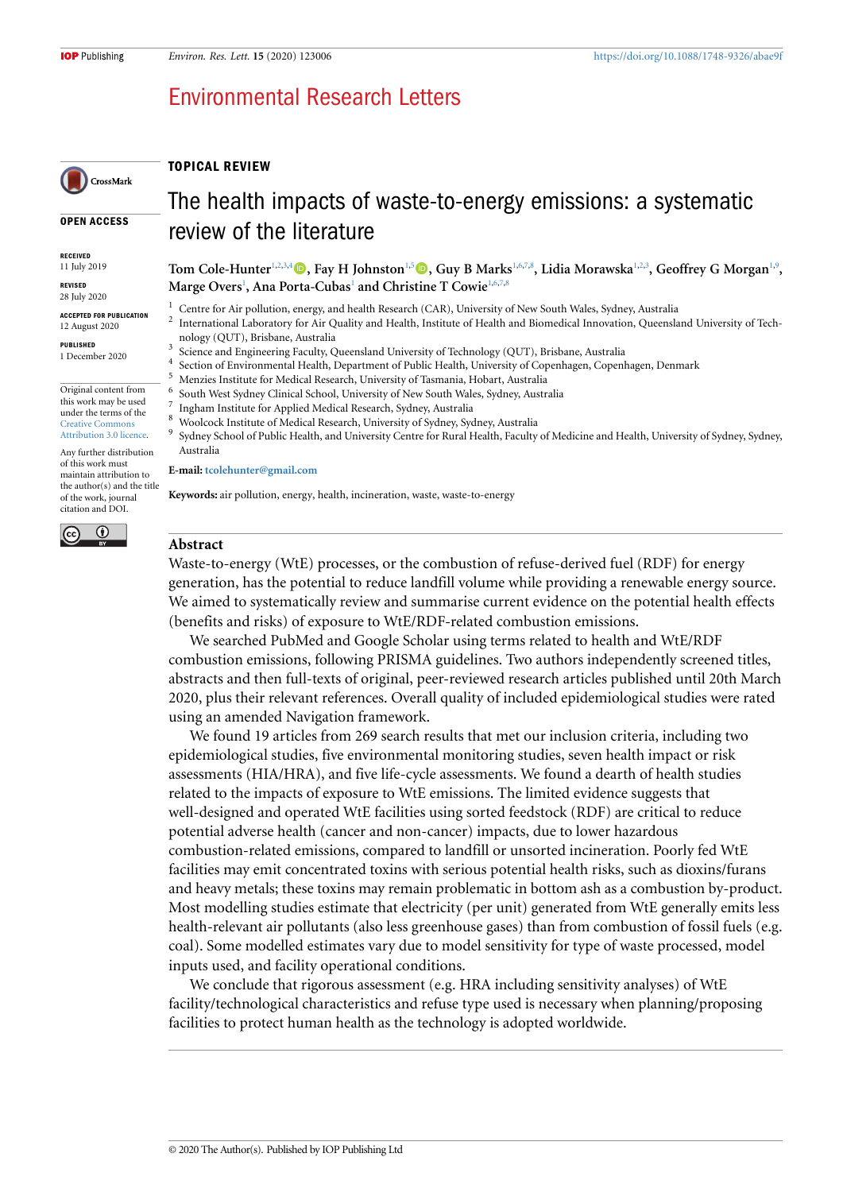# Environmental Research Letters

## **TOPICAL REVIEW**

#### **OPEN ACCESS**

CrossMark

**RECEIVED** 11 July 2019

# **REVISED**

28 July 2020

**ACCEPTED FOR PUBLICATION** 12 August 2020

**PUBLISHED** 1 December 2020

#### Original content from this work may be used under the terms of the [Creative Commons](https://creativecommons.org/licenses/by/3.0/) [Attribution 3.0 licence](https://creativecommons.org/licenses/by/3.0/).

Any further distribution of this work must maintain attribution to the author(s) and the title of the work, journal citation and DOI.

 $\overline{\odot}$ 

(cc



**Tom Cole-Hunter**[1](#page-1-0),[2,](#page-1-1)[3,](#page-1-2)[4](#page-1-3)**, Fay H Johnston**[1,](#page-1-0)[5](#page-1-4)**, Guy B Marks**[1,](#page-1-0)[6](#page-1-5)[,7](#page-1-6)[,8](#page-1-7) **, Lidia Morawska**[1](#page-1-0),[2](#page-1-1),[3](#page-1-2) **, Geoffrey G Morgan**[1](#page-1-0),[9](#page-1-8) **,**  $\mathbf{Marge\ Overs}^1$  $\mathbf{Marge\ Overs}^1$ , Ana Porta-Cubas<sup>1</sup> and Christine T Cowie<sup>1,[6](#page-1-5),[7,](#page-1-6)[8](#page-1-7)</sup>

- <span id="page-1-0"></span><sup>1</sup> Centre for Air pollution, energy, and health Research (CAR), University of New South Wales, Sydney, Australia  $\overline{2}$ 
	- International Laboratory for Air Quality and Health, Institute of Health and Biomedical Innovation, Queensland University of Technology (QUT), Brisbane, Australia
- <span id="page-1-1"></span>3 Science and Engineering Faculty, Queensland University of Technology (QUT), Brisbane, Australia
- <span id="page-1-2"></span>4 Section of Environmental Health, Department of Public Health, University of Copenhagen, Copenhagen, Denmark
- <span id="page-1-4"></span><span id="page-1-3"></span><sup>5</sup> Menzies Institute for Medical Research, University of Tasmania, Hobart, Australia 6
- South West Sydney Clinical School, University of New South Wales, Sydney, Australia 7
- <span id="page-1-6"></span><span id="page-1-5"></span>Ingham Institute for Applied Medical Research, Sydney, Australia
- <sup>8</sup> Woolcock Institute of Medical Research, University of Sydney, Sydney, Australia
- <span id="page-1-8"></span><span id="page-1-7"></span>9 Sydney School of Public Health, and University Centre for Rural Health, Faculty of Medicine and Health, University of Sydney, Sydney, Australia

#### **E-mail: [tcolehunter@gmail.com](mailto:tcolehunter@gmail.com)**

**Keywords:** air pollution, energy, health, incineration, waste, waste-to-energy

### **Abstract**

Waste-to-energy (WtE) processes, or the combustion of refuse-derived fuel (RDF) for energy generation, has the potential to reduce landfill volume while providing a renewable energy source. We aimed to systematically review and summarise current evidence on the potential health effects (benefits and risks) of exposure to WtE/RDF-related combustion emissions.

We searched PubMed and Google Scholar using terms related to health and WtE/RDF combustion emissions, following PRISMA guidelines. Two authors independently screened titles, abstracts and then full-texts of original, peer-reviewed research articles published until 20th March 2020, plus their relevant references. Overall quality of included epidemiological studies were rated using an amended Navigation framework.

We found 19 articles from 269 search results that met our inclusion criteria, including two epidemiological studies, five environmental monitoring studies, seven health impact or risk assessments (HIA/HRA), and five life-cycle assessments. We found a dearth of health studies related to the impacts of exposure to WtE emissions. The limited evidence suggests that well-designed and operated WtE facilities using sorted feedstock (RDF) are critical to reduce potential adverse health (cancer and non-cancer) impacts, due to lower hazardous combustion-related emissions, compared to landfill or unsorted incineration. Poorly fed WtE facilities may emit concentrated toxins with serious potential health risks, such as dioxins/furans and heavy metals; these toxins may remain problematic in bottom ash as a combustion by-product. Most modelling studies estimate that electricity (per unit) generated from WtE generally emits less health-relevant air pollutants (also less greenhouse gases) than from combustion of fossil fuels (e.g. coal). Some modelled estimates vary due to model sensitivity for type of waste processed, model inputs used, and facility operational conditions.

We conclude that rigorous assessment (e.g. HRA including sensitivity analyses) of WtE facility/technological characteristics and refuse type used is necessary when planning/proposing facilities to protect human health as the technology is adopted worldwide.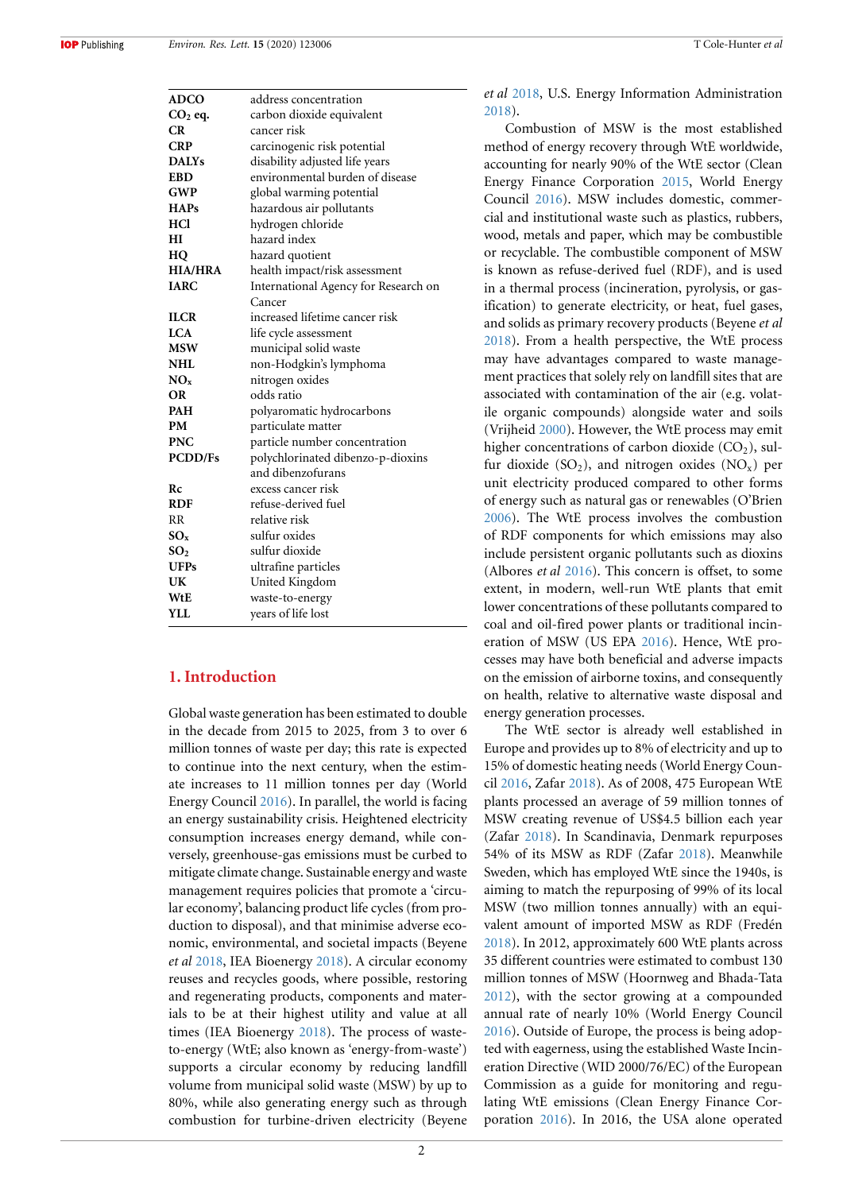**IOP** Publishing

| <b>ADCO</b>     | address concentration                |
|-----------------|--------------------------------------|
| $CO2$ eq.       | carbon dioxide equivalent            |
| CR              | cancer risk                          |
| <b>CRP</b>      | carcinogenic risk potential          |
| <b>DALYs</b>    | disability adjusted life years       |
| <b>EBD</b>      | environmental burden of disease      |
| <b>GWP</b>      | global warming potential             |
| <b>HAPs</b>     | hazardous air pollutants             |
| <b>HCl</b>      | hydrogen chloride                    |
| НI              | hazard index                         |
| HO              | hazard quotient                      |
| <b>HIA/HRA</b>  | health impact/risk assessment        |
| <b>IARC</b>     | International Agency for Research on |
|                 | Cancer                               |
| <b>ILCR</b>     | increased lifetime cancer risk       |
| <b>LCA</b>      | life cycle assessment                |
| <b>MSW</b>      | municipal solid waste                |
| <b>NHL</b>      | non-Hodgkin's lymphoma               |
| $NO_x$          | nitrogen oxides                      |
| <b>OR</b>       | odds ratio                           |
| <b>PAH</b>      | polyaromatic hydrocarbons            |
| PM              | particulate matter                   |
| <b>PNC</b>      | particle number concentration        |
| <b>PCDD/Fs</b>  | polychlorinated dibenzo-p-dioxins    |
|                 | and dibenzofurans                    |
| Rc              | excess cancer risk                   |
| <b>RDF</b>      | refuse-derived fuel                  |
| <b>RR</b>       | relative risk                        |
| $SO_x$          | sulfur oxides                        |
| SO <sub>2</sub> | sulfur dioxide                       |
| <b>UFPs</b>     | ultrafine particles                  |
| UK              | United Kingdom                       |
| WtE             | waste-to-energy                      |
| <b>YLL</b>      | years of life lost                   |

# **1. Introduction**

Global waste generation has been estimated to double in the decade from 2015 to 2025, from 3 to over 6 million tonnes of waste per day; this rate is expected to continue into the next century, when the estimate increases to 11 million tonnes per day (World Energy Council [2016\)](#page-18-0). In parallel, the world is facing an energy sustainability crisis. Heightened electricity consumption increases energy demand, while conversely, greenhouse-gas emissions must be curbed to mitigate climate change. Sustainable energy and waste management requires policies that promote a 'circular economy', balancing product life cycles (from production to disposal), and that minimise adverse economic, environmental, and societal impacts (Beyene *et al* [2018](#page-17-0), IEA Bioenergy [2018\)](#page-17-1). A circular economy reuses and recycles goods, where possible, restoring and regenerating products, components and materials to be at their highest utility and value at all times (IEA Bioenergy [2018](#page-17-1)). The process of wasteto-energy (WtE; also known as 'energy-from-waste') supports a circular economy by reducing landfill volume from municipal solid waste (MSW) by up to 80%, while also generating energy such as through combustion for turbine-driven electricity (Beyene

*et al* [2018](#page-17-0), U.S. Energy Information Administration [2018](#page-18-1)).

Combustion of MSW is the most established method of energy recovery through WtE worldwide, accounting for nearly 90% of the WtE sector (Clean Energy Finance Corporation [2015,](#page-17-2) World Energy Council [2016](#page-18-0)). MSW includes domestic, commercial and institutional waste such as plastics, rubbers, wood, metals and paper, which may be combustible or recyclable. The combustible component of MSW is known as refuse-derived fuel (RDF), and is used in a thermal process (incineration, pyrolysis, or gasification) to generate electricity, or heat, fuel gases, and solids as primary recovery products (Beyene *et al* [2018](#page-17-0)). From a health perspective, the WtE process may have advantages compared to waste management practices that solely rely on landfill sites that are associated with contamination of the air (e.g. volatile organic compounds) alongside water and soils (Vrijheid [2000\)](#page-18-2). However, the WtE process may emit higher concentrations of carbon dioxide  $(CO<sub>2</sub>)$ , sulfur dioxide  $(SO_2)$ , and nitrogen oxides  $(NO_x)$  per unit electricity produced compared to other forms of energy such as natural gas or renewables (O'Brien [2006](#page-18-3)). The WtE process involves the combustion of RDF components for which emissions may also include persistent organic pollutants such as dioxins (Albores *et al* [2016](#page-17-3)). This concern is offset, to some extent, in modern, well-run WtE plants that emit lower concentrations of these pollutants compared to coal and oil-fired power plants or traditional incineration of MSW (US EPA [2016](#page-18-4)). Hence, WtE processes may have both beneficial and adverse impacts on the emission of airborne toxins, and consequently on health, relative to alternative waste disposal and energy generation processes.

The WtE sector is already well established in Europe and provides up to 8% of electricity and up to 15% of domestic heating needs (World Energy Council [2016,](#page-18-0) Zafar [2018\)](#page-18-5). As of 2008, 475 European WtE plants processed an average of 59 million tonnes of MSW creating revenue of US\$4.5 billion each year (Zafar [2018\)](#page-18-5). In Scandinavia, Denmark repurposes 54% of its MSW as RDF (Zafar [2018\)](#page-18-5). Meanwhile Sweden, which has employed WtE since the 1940s, is aiming to match the repurposing of 99% of its local MSW (two million tonnes annually) with an equivalent amount of imported MSW as RDF (Fredén [2018](#page-17-4)). In 2012, approximately 600 WtE plants across 35 different countries were estimated to combust 130 million tonnes of MSW (Hoornweg and Bhada-Tata [2012](#page-17-5)), with the sector growing at a compounded annual rate of nearly 10% (World Energy Council [2016](#page-18-0)). Outside of Europe, the process is being adopted with eagerness, using the established Waste Incineration Directive (WID 2000/76/EC) of the European Commission as a guide for monitoring and regulating WtE emissions (Clean Energy Finance Corporation [2016\)](#page-17-6). In 2016, the USA alone operated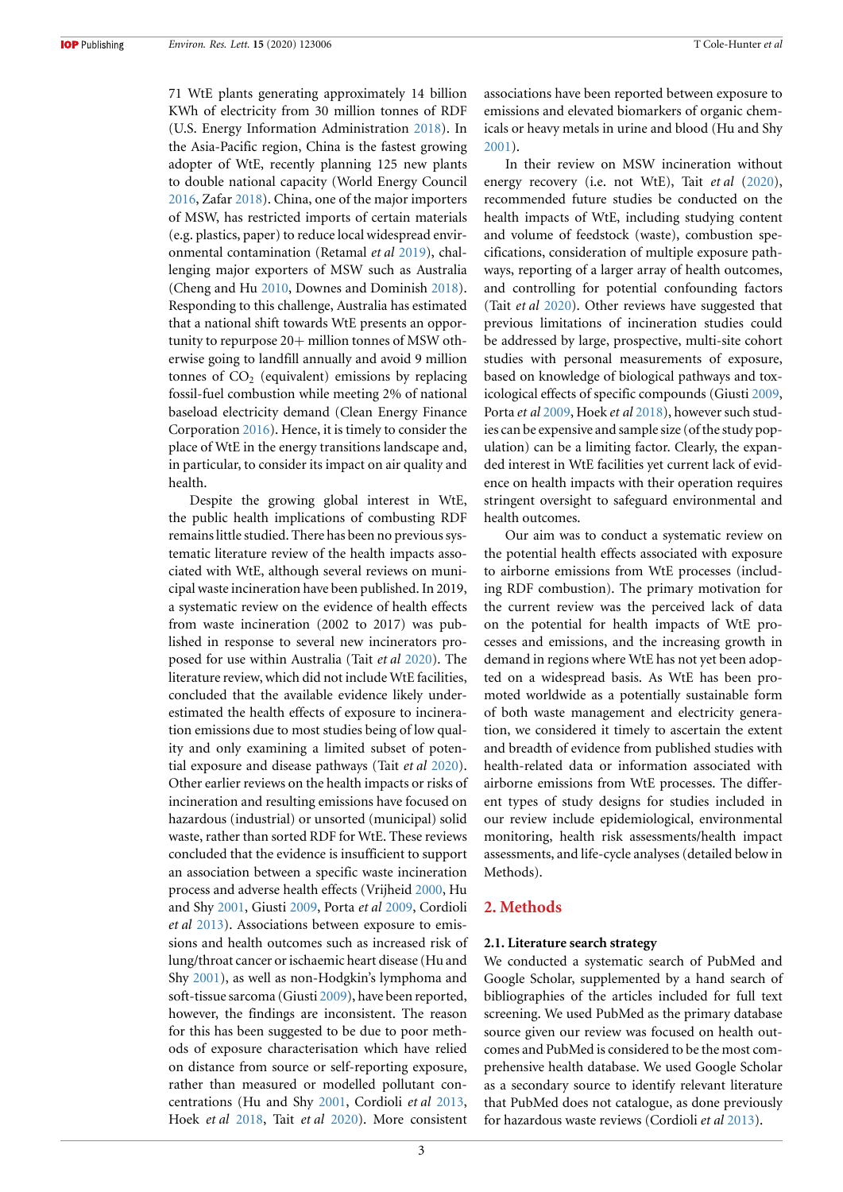71 WtE plants generating approximately 14 billion KWh of electricity from 30 million tonnes of RDF (U.S. Energy Information Administration [2018\)](#page-18-1). In the Asia-Pacific region, China is the fastest growing adopter of WtE, recently planning 125 new plants to double national capacity (World Energy Council [2016](#page-18-0), Zafar [2018](#page-18-5)). China, one of the major importers of MSW, has restricted imports of certain materials (e.g. plastics, paper) to reduce local widespread environmental contamination (Retamal *et al* [2019\)](#page-18-6), challenging major exporters of MSW such as Australia (Cheng and Hu [2010,](#page-17-7) Downes and Dominish [2018\)](#page-17-8). Responding to this challenge, Australia has estimated that a national shift towards WtE presents an opportunity to repurpose  $20+$  million tonnes of MSW otherwise going to landfill annually and avoid 9 million tonnes of  $CO<sub>2</sub>$  (equivalent) emissions by replacing fossil-fuel combustion while meeting 2% of national baseload electricity demand (Clean Energy Finance Corporation [2016\)](#page-17-6). Hence, it is timely to consider the place of WtE in the energy transitions landscape and, in particular, to consider its impact on air quality and health.

Despite the growing global interest in WtE, the public health implications of combusting RDF remains little studied. There has been no previous systematic literature review of the health impacts associated with WtE, although several reviews on municipal waste incineration have been published. In 2019, a systematic review on the evidence of health effects from waste incineration (2002 to 2017) was published in response to several new incinerators proposed for use within Australia (Tait *et al* [2020](#page-18-7)). The literature review, which did not include WtE facilities, concluded that the available evidence likely underestimated the health effects of exposure to incineration emissions due to most studies being of low quality and only examining a limited subset of potential exposure and disease pathways (Tait *et al* [2020\)](#page-18-7). Other earlier reviews on the health impacts or risks of incineration and resulting emissions have focused on hazardous (industrial) or unsorted (municipal) solid waste, rather than sorted RDF for WtE. These reviews concluded that the evidence is insufficient to support an association between a specific waste incineration process and adverse health effects (Vrijheid [2000,](#page-18-2) Hu and Shy [2001,](#page-17-9) Giusti [2009,](#page-17-10) Porta *et al* [2009](#page-18-8), Cordioli *et al* [2013](#page-17-11)). Associations between exposure to emissions and health outcomes such as increased risk of lung/throat cancer or ischaemic heart disease (Hu and Shy [2001](#page-17-9)), as well as non-Hodgkin's lymphoma and soft-tissue sarcoma (Giusti [2009](#page-17-10)), have been reported, however, the findings are inconsistent. The reason for this has been suggested to be due to poor methods of exposure characterisation which have relied on distance from source or self-reporting exposure, rather than measured or modelled pollutant concentrations (Hu and Shy [2001](#page-17-9), Cordioli *et al* [2013,](#page-17-11) Hoek *et al* [2018,](#page-17-12) Tait *et al* [2020\)](#page-18-7). More consistent associations have been reported between exposure to emissions and elevated biomarkers of organic chemicals or heavy metals in urine and blood (Hu and Shy [2001](#page-17-9)).

In their review on MSW incineration without energy recovery (i.e. not WtE), Tait *et al* [\(2020\)](#page-18-7), recommended future studies be conducted on the health impacts of WtE, including studying content and volume of feedstock (waste), combustion specifications, consideration of multiple exposure pathways, reporting of a larger array of health outcomes, and controlling for potential confounding factors (Tait *et al* [2020\)](#page-18-7). Other reviews have suggested that previous limitations of incineration studies could be addressed by large, prospective, multi-site cohort studies with personal measurements of exposure, based on knowledge of biological pathways and toxicological effects of specific compounds (Giusti [2009](#page-17-10), Porta *et al* [2009,](#page-18-8) Hoek *et al* [2018](#page-17-12)), however such studies can be expensive and sample size (of the study population) can be a limiting factor. Clearly, the expanded interest in WtE facilities yet current lack of evidence on health impacts with their operation requires stringent oversight to safeguard environmental and health outcomes.

Our aim was to conduct a systematic review on the potential health effects associated with exposure to airborne emissions from WtE processes (including RDF combustion). The primary motivation for the current review was the perceived lack of data on the potential for health impacts of WtE processes and emissions, and the increasing growth in demand in regions where WtE has not yet been adopted on a widespread basis. As WtE has been promoted worldwide as a potentially sustainable form of both waste management and electricity generation, we considered it timely to ascertain the extent and breadth of evidence from published studies with health-related data or information associated with airborne emissions from WtE processes. The different types of study designs for studies included in our review include epidemiological, environmental monitoring, health risk assessments/health impact assessments, and life-cycle analyses (detailed below in Methods).

# **2. Methods**

#### **2.1. Literature search strategy**

We conducted a systematic search of PubMed and Google Scholar, supplemented by a hand search of bibliographies of the articles included for full text screening. We used PubMed as the primary database source given our review was focused on health outcomes and PubMed is considered to be the most comprehensive health database. We used Google Scholar as a secondary source to identify relevant literature that PubMed does not catalogue, as done previously for hazardous waste reviews (Cordioli *et al* [2013](#page-17-11)).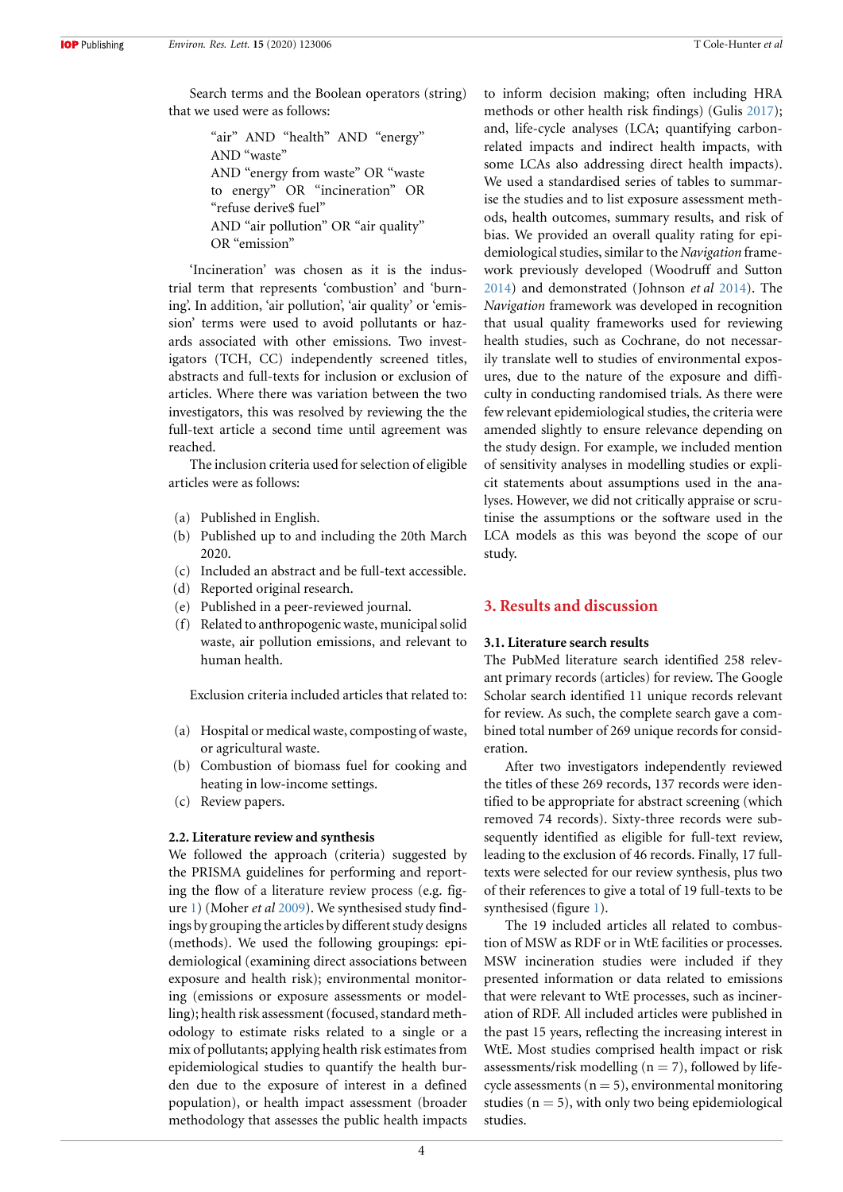Search terms and the Boolean operators (string) that we used were as follows:

> "air" AND "health" AND "energy" AND "waste" AND "energy from waste" OR "waste to energy" OR "incineration" OR "refuse derive\$ fuel" AND "air pollution" OR "air quality" OR "emission"

'Incineration' was chosen as it is the industrial term that represents 'combustion' and 'burning'. In addition, 'air pollution', 'air quality' or 'emission' terms were used to avoid pollutants or hazards associated with other emissions. Two investigators (TCH, CC) independently screened titles, abstracts and full-texts for inclusion or exclusion of articles. Where there was variation between the two investigators, this was resolved by reviewing the the full-text article a second time until agreement was reached.

The inclusion criteria used for selection of eligible articles were as follows:

- (a) Published in English.
- (b) Published up to and including the 20th March 2020.
- (c) Included an abstract and be full-text accessible.
- (d) Reported original research.
- (e) Published in a peer-reviewed journal.
- (f) Related to anthropogenic waste, municipal solid waste, air pollution emissions, and relevant to human health.

Exclusion criteria included articles that related to:

- (a) Hospital or medical waste, composting of waste, or agricultural waste.
- (b) Combustion of biomass fuel for cooking and heating in low-income settings.
- (c) Review papers.

#### **2.2. Literature review and synthesis**

We followed the approach (criteria) suggested by the PRISMA guidelines for performing and reporting the flow of a literature review process (e.g. figure [1](#page-5-0)) (Moher *et al* [2009\)](#page-17-13). We synthesised study findings by grouping the articles by different study designs (methods). We used the following groupings: epidemiological (examining direct associations between exposure and health risk); environmental monitoring (emissions or exposure assessments or modelling); health risk assessment (focused, standard methodology to estimate risks related to a single or a mix of pollutants; applying health risk estimates from epidemiological studies to quantify the health burden due to the exposure of interest in a defined population), or health impact assessment (broader methodology that assesses the public health impacts to inform decision making; often including HRA methods or other health risk findings) (Gulis [2017\)](#page-17-14); and, life-cycle analyses (LCA; quantifying carbonrelated impacts and indirect health impacts, with some LCAs also addressing direct health impacts). We used a standardised series of tables to summarise the studies and to list exposure assessment methods, health outcomes, summary results, and risk of bias. We provided an overall quality rating for epidemiological studies, similar to the *Navigation* framework previously developed (Woodruff and Sutton [2014](#page-18-9)) and demonstrated (Johnson *et al* [2014](#page-17-15)). The *Navigation* framework was developed in recognition that usual quality frameworks used for reviewing health studies, such as Cochrane, do not necessarily translate well to studies of environmental exposures, due to the nature of the exposure and difficulty in conducting randomised trials. As there were few relevant epidemiological studies, the criteria were amended slightly to ensure relevance depending on the study design. For example, we included mention of sensitivity analyses in modelling studies or explicit statements about assumptions used in the analyses. However, we did not critically appraise or scrutinise the assumptions or the software used in the LCA models as this was beyond the scope of our study.

# **3. Results and discussion**

### **3.1. Literature search results**

The PubMed literature search identified 258 relevant primary records (articles) for review. The Google Scholar search identified 11 unique records relevant for review. As such, the complete search gave a combined total number of 269 unique records for consideration.

After two investigators independently reviewed the titles of these 269 records, 137 records were identified to be appropriate for abstract screening (which removed 74 records). Sixty-three records were subsequently identified as eligible for full-text review, leading to the exclusion of 46 records. Finally, 17 fulltexts were selected for our review synthesis, plus two of their references to give a total of 19 full-texts to be synthesised (figure [1\)](#page-5-0).

The 19 included articles all related to combustion of MSW as RDF or in WtE facilities or processes. MSW incineration studies were included if they presented information or data related to emissions that were relevant to WtE processes, such as incineration of RDF. All included articles were published in the past 15 years, reflecting the increasing interest in WtE. Most studies comprised health impact or risk assessments/risk modelling  $(n = 7)$ , followed by lifecycle assessments  $(n = 5)$ , environmental monitoring studies ( $n = 5$ ), with only two being epidemiological studies.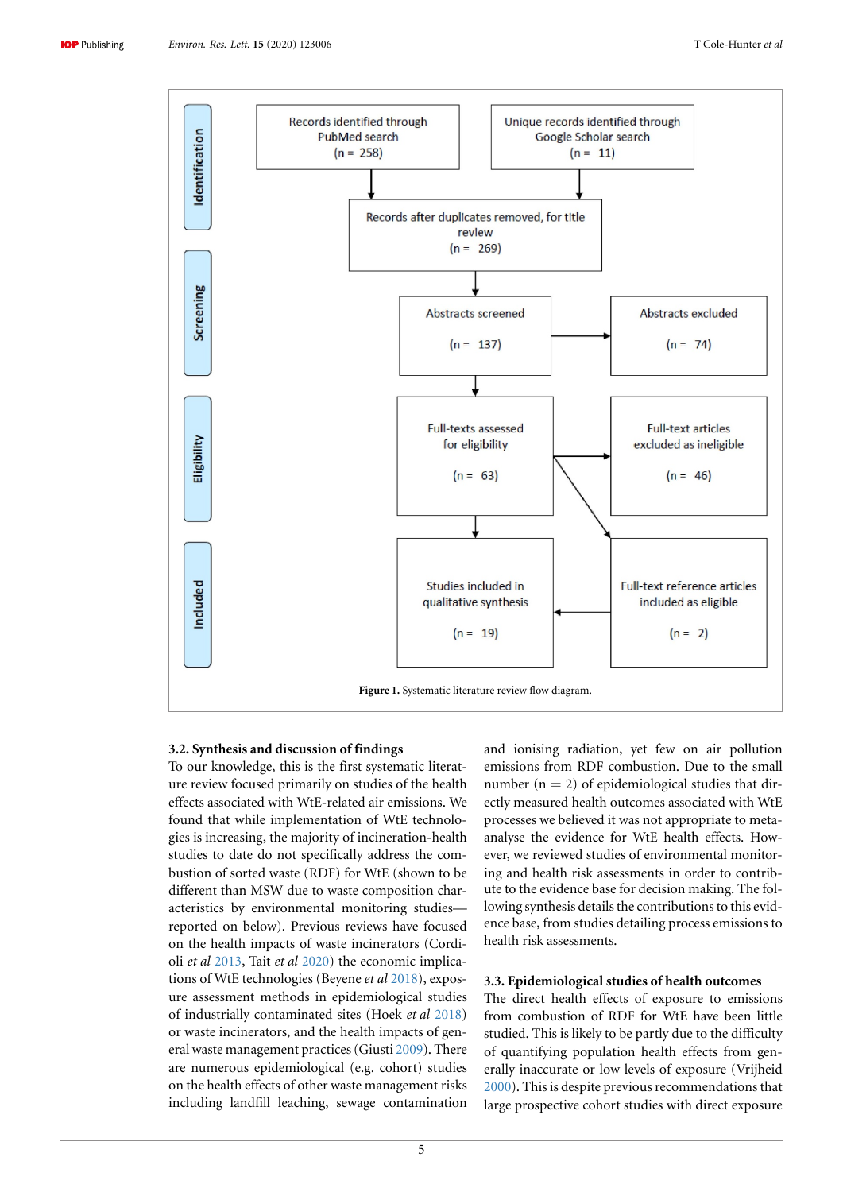<span id="page-5-0"></span>

#### **3.2. Synthesis and discussion of findings**

To our knowledge, this is the first systematic literature review focused primarily on studies of the health effects associated with WtE-related air emissions. We found that while implementation of WtE technologies is increasing, the majority of incineration-health studies to date do not specifically address the combustion of sorted waste (RDF) for WtE (shown to be different than MSW due to waste composition characteristics by environmental monitoring studies reported on below). Previous reviews have focused on the health impacts of waste incinerators (Cordioli *et al* [2013,](#page-17-11) Tait *et al* [2020\)](#page-18-7) the economic implications of WtE technologies (Beyene *et al* [2018](#page-17-0)), exposure assessment methods in epidemiological studies of industrially contaminated sites (Hoek *et al* [2018](#page-17-12)) or waste incinerators, and the health impacts of general waste management practices (Giusti [2009\)](#page-17-10). There are numerous epidemiological (e.g. cohort) studies on the health effects of other waste management risks including landfill leaching, sewage contamination and ionising radiation, yet few on air pollution emissions from RDF combustion. Due to the small number  $(n = 2)$  of epidemiological studies that directly measured health outcomes associated with WtE processes we believed it was not appropriate to metaanalyse the evidence for WtE health effects. However, we reviewed studies of environmental monitoring and health risk assessments in order to contribute to the evidence base for decision making. The following synthesis details the contributions to this evidence base, from studies detailing process emissions to health risk assessments.

### **3.3. Epidemiological studies of health outcomes**

The direct health effects of exposure to emissions from combustion of RDF for WtE have been little studied. This is likely to be partly due to the difficulty of quantifying population health effects from generally inaccurate or low levels of exposure (Vrijheid [2000](#page-18-2)). This is despite previous recommendations that large prospective cohort studies with direct exposure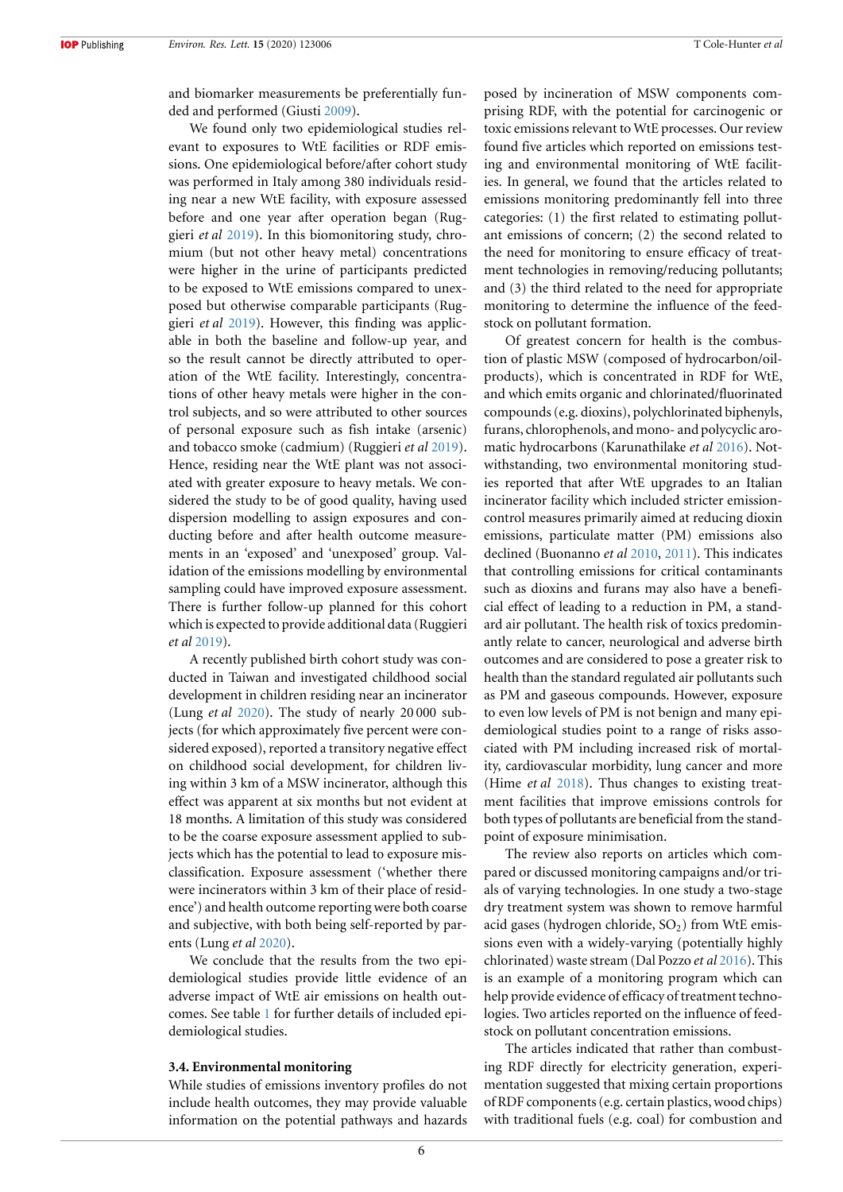and biomarker measurements be preferentially funded and performed (Giusti [2009](#page-17-10)).

We found only two epidemiological studies relevant to exposures to WtE facilities or RDF emissions. One epidemiological before/after cohort study was performed in Italy among 380 individuals residing near a new WtE facility, with exposure assessed before and one year after operation began (Ruggieri *et al* [2019](#page-18-10)). In this biomonitoring study, chromium (but not other heavy metal) concentrations were higher in the urine of participants predicted to be exposed to WtE emissions compared to unexposed but otherwise comparable participants (Ruggieri *et al* [2019\)](#page-18-10). However, this finding was applicable in both the baseline and follow-up year, and so the result cannot be directly attributed to operation of the WtE facility. Interestingly, concentrations of other heavy metals were higher in the control subjects, and so were attributed to other sources of personal exposure such as fish intake (arsenic) and tobacco smoke (cadmium) (Ruggieri *et al* [2019\)](#page-18-10). Hence, residing near the WtE plant was not associated with greater exposure to heavy metals. We considered the study to be of good quality, having used dispersion modelling to assign exposures and conducting before and after health outcome measurements in an 'exposed' and 'unexposed' group. Validation of the emissions modelling by environmental sampling could have improved exposure assessment. There is further follow-up planned for this cohort which is expected to provide additional data (Ruggieri *et al* [2019](#page-18-10)).

A recently published birth cohort study was conducted in Taiwan and investigated childhood social development in children residing near an incinerator (Lung *et al* [2020\)](#page-17-16). The study of nearly 20 000 subjects (for which approximately five percent were considered exposed), reported a transitory negative effect on childhood social development, for children living within 3 km of a MSW incinerator, although this effect was apparent at six months but not evident at 18 months. A limitation of this study was considered to be the coarse exposure assessment applied to subjects which has the potential to lead to exposure misclassification. Exposure assessment ('whether there were incinerators within 3 km of their place of residence') and health outcome reporting were both coarse and subjective, with both being self-reported by parents (Lung *et al* [2020](#page-17-16)).

We conclude that the results from the two epidemiological studies provide little evidence of an adverse impact of WtE air emissions on health outcomes. See table [1](#page-7-0) for further details of included epidemiological studies.

#### **3.4. Environmental monitoring**

While studies of emissions inventory profiles do not include health outcomes, they may provide valuable information on the potential pathways and hazards posed by incineration of MSW components comprising RDF, with the potential for carcinogenic or toxic emissions relevant to WtE processes. Our review found five articles which reported on emissions testing and environmental monitoring of WtE facilities. In general, we found that the articles related to emissions monitoring predominantly fell into three categories: (1) the first related to estimating pollutant emissions of concern; (2) the second related to the need for monitoring to ensure efficacy of treatment technologies in removing/reducing pollutants; and (3) the third related to the need for appropriate monitoring to determine the influence of the feedstock on pollutant formation.

Of greatest concern for health is the combustion of plastic MSW (composed of hydrocarbon/oilproducts), which is concentrated in RDF for WtE, and which emits organic and chlorinated/fluorinated compounds (e.g. dioxins), polychlorinated biphenyls, furans, chlorophenols, and mono- and polycyclic aromatic hydrocarbons (Karunathilake *et al* [2016](#page-17-17)). Notwithstanding, two environmental monitoring studies reported that after WtE upgrades to an Italian incinerator facility which included stricter emissioncontrol measures primarily aimed at reducing dioxin emissions, particulate matter (PM) emissions also declined (Buonanno *et al* [2010,](#page-17-18) [2011\)](#page-17-19). This indicates that controlling emissions for critical contaminants such as dioxins and furans may also have a beneficial effect of leading to a reduction in PM, a standard air pollutant. The health risk of toxics predominantly relate to cancer, neurological and adverse birth outcomes and are considered to pose a greater risk to health than the standard regulated air pollutants such as PM and gaseous compounds. However, exposure to even low levels of PM is not benign and many epidemiological studies point to a range of risks associated with PM including increased risk of mortality, cardiovascular morbidity, lung cancer and more (Hime *et al* [2018](#page-17-20)). Thus changes to existing treatment facilities that improve emissions controls for both types of pollutants are beneficial from the standpoint of exposure minimisation.

The review also reports on articles which compared or discussed monitoring campaigns and/or trials of varying technologies. In one study a two-stage dry treatment system was shown to remove harmful acid gases (hydrogen chloride,  $SO<sub>2</sub>$ ) from WtE emissions even with a widely-varying (potentially highly chlorinated) waste stream (Dal Pozzo *et al* [2016](#page-17-21)). This is an example of a monitoring program which can help provide evidence of efficacy of treatment technologies. Two articles reported on the influence of feedstock on pollutant concentration emissions.

The articles indicated that rather than combusting RDF directly for electricity generation, experimentation suggested that mixing certain proportions of RDF components (e.g. certain plastics, wood chips) with traditional fuels (e.g. coal) for combustion and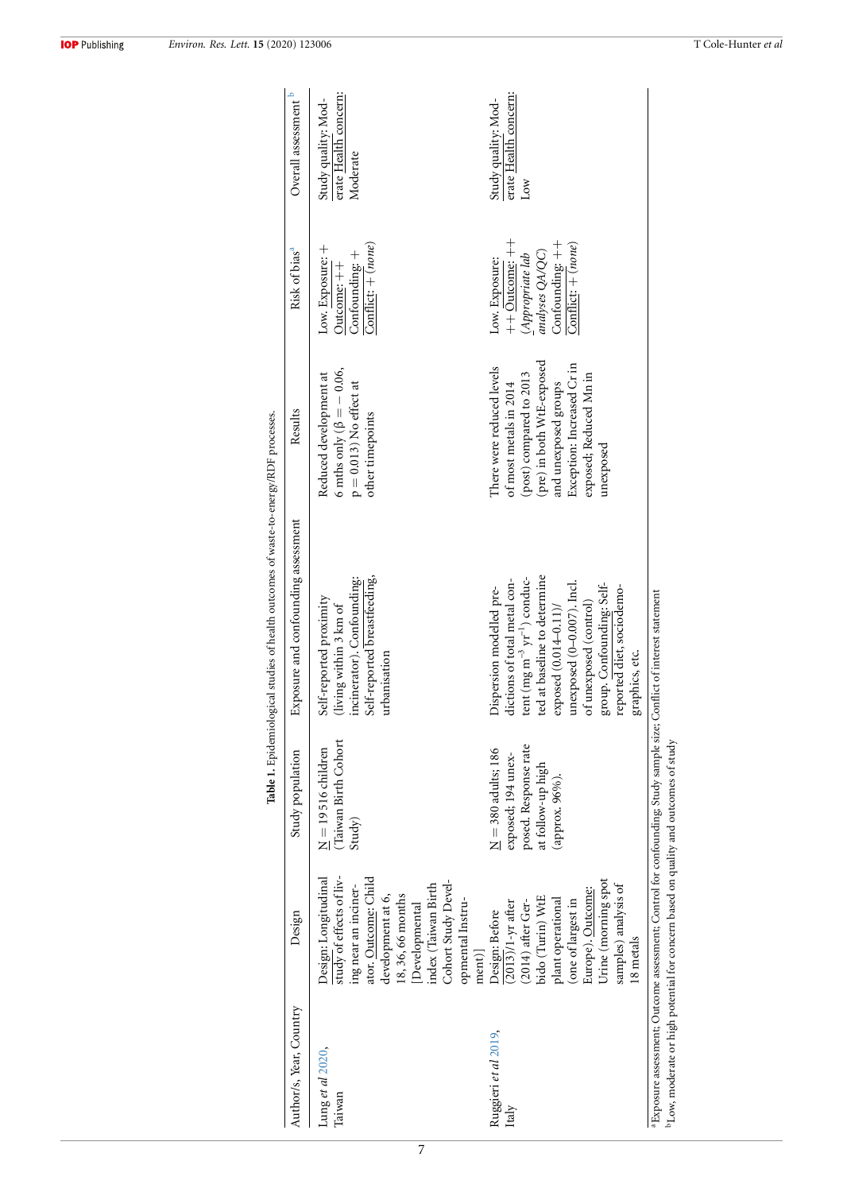<span id="page-7-0"></span>

| Confounding: $++$<br>Conflict: $+(none)$<br>$\overline{\text{Conflict}}$ : + (none)<br>Low. Exposure: +<br>analyses QA/QC)<br>Confounding: $+$<br>$(A$ ppropriate lab<br>Low. Exposure:<br>Outcome: $++$<br>(pre) in both WtE-exposed<br>Exception: Increased Cr in<br>There were reduced levels<br>6 mths only ( $\beta = -0.06$ ,<br>exposed; Reduced Mn in<br>(post) compared to 2013<br>Reduced development at<br>$p = 0.013$ ) No effect at<br>and unexposed groups<br>of most metals in 2014<br>other timepoints<br>unexposed<br>Self-reported breastfeeding,<br>ted at baseline to determine<br>Self-reported proximity<br>(living within 3 km of<br>incinerator). Confounding:<br>dictions of total metal con-<br>tent (mg m $^{-3}$ yr $^{-1}$ ) conduc-<br>unexposed (0-0.007). Incl.<br>group. Confounding: Self-<br>reported diet, sociodemo-<br>Dispersion modelled pre-<br>of unexposed (control)<br>exposed (0.014-0.11)/<br>urbanisation<br>Taiwan Birth Cohort<br>posed. Response rate<br>$\underline{\rm{N}}=380$ adults; 186<br>$\underline{N} = 19516$ children<br>exposed; 194 unex-<br>at follow-up high<br>(арргох. 96%).<br>Study)<br>study of effects of liv-<br>ator. Outcome: Child<br>Design: Longitudinal<br>Urine (morning spot<br>Cohort Study Devel-<br>samples) analysis of<br>ing near an inciner-<br>index (Taiwan Birth<br>Europe). Outcome:<br>18, 36, 66 months<br>development at 6,<br>bido (Turin) WtE<br>plant operational<br>(one of largest in<br>opmental Instru-<br>$(2013)/1$ -yr after<br>$(2014)$ after Ger-<br>[Developmental<br>Design: Before<br>$ ment\rangle$<br>Ruggieri <i>et al</i> 2019,<br>Lung et al 2020,<br>Taiwan<br>Italy | Author/s, Year, Country | Design    | Study population | Exposure and confounding assessment | Results | Risk of bias <sup>a</sup> | Overall assessment b                                     |
|------------------------------------------------------------------------------------------------------------------------------------------------------------------------------------------------------------------------------------------------------------------------------------------------------------------------------------------------------------------------------------------------------------------------------------------------------------------------------------------------------------------------------------------------------------------------------------------------------------------------------------------------------------------------------------------------------------------------------------------------------------------------------------------------------------------------------------------------------------------------------------------------------------------------------------------------------------------------------------------------------------------------------------------------------------------------------------------------------------------------------------------------------------------------------------------------------------------------------------------------------------------------------------------------------------------------------------------------------------------------------------------------------------------------------------------------------------------------------------------------------------------------------------------------------------------------------------------------------------------------------------------------------------------------------------------|-------------------------|-----------|------------------|-------------------------------------|---------|---------------------------|----------------------------------------------------------|
|                                                                                                                                                                                                                                                                                                                                                                                                                                                                                                                                                                                                                                                                                                                                                                                                                                                                                                                                                                                                                                                                                                                                                                                                                                                                                                                                                                                                                                                                                                                                                                                                                                                                                          |                         |           |                  |                                     |         |                           | erate Health concern:<br>Study quality: Mod-<br>Moderate |
|                                                                                                                                                                                                                                                                                                                                                                                                                                                                                                                                                                                                                                                                                                                                                                                                                                                                                                                                                                                                                                                                                                                                                                                                                                                                                                                                                                                                                                                                                                                                                                                                                                                                                          |                         | 18 metals |                  | graphics, etc.                      |         | $++$ Outcome: $++$        | erate Health concern:<br>Study quality: Mod-<br>Low      |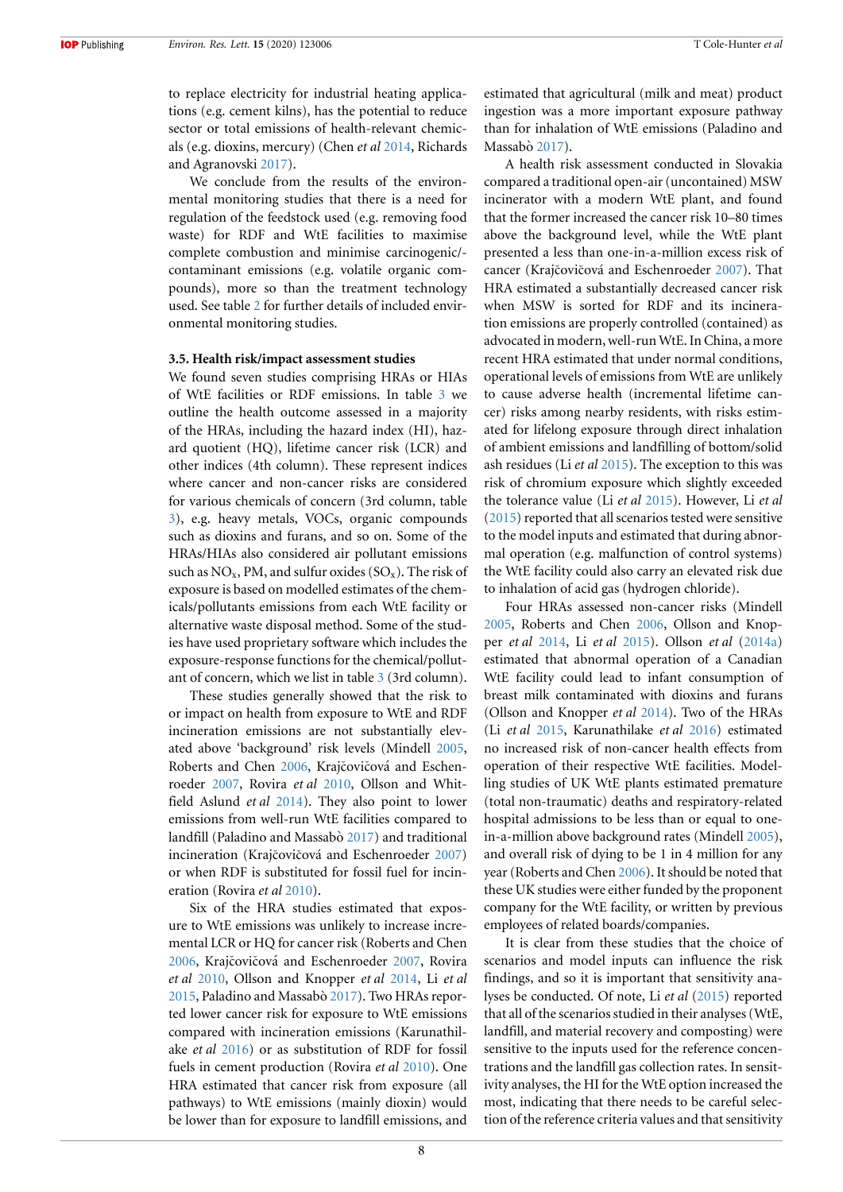to replace electricity for industrial heating applications (e.g. cement kilns), has the potential to reduce sector or total emissions of health-relevant chemicals (e.g. dioxins, mercury) (Chen *et al* [2014](#page-17-22), Richards and Agranovski [2017](#page-18-11)).

We conclude from the results of the environmental monitoring studies that there is a need for regulation of the feedstock used (e.g. removing food waste) for RDF and WtE facilities to maximise complete combustion and minimise carcinogenic/ contaminant emissions (e.g. volatile organic compounds), more so than the treatment technology used. See table [2](#page-9-0) for further details of included environmental monitoring studies.

#### **3.5. Health risk/impact assessment studies**

We found seven studies comprising HRAs or HIAs of WtE facilities or RDF emissions. In table [3](#page-10-0) we outline the health outcome assessed in a majority of the HRAs, including the hazard index (HI), hazard quotient (HQ), lifetime cancer risk (LCR) and other indices (4th column). These represent indices where cancer and non-cancer risks are considered for various chemicals of concern (3rd column, table [3\)](#page-10-0), e.g. heavy metals, VOCs, organic compounds such as dioxins and furans, and so on. Some of the HRAs/HIAs also considered air pollutant emissions such as  $NO_x$ , PM, and sulfur oxides  $(SO_x)$ . The risk of exposure is based on modelled estimates of the chemicals/pollutants emissions from each WtE facility or alternative waste disposal method. Some of the studies have used proprietary software which includes the exposure-response functions for the chemical/pollutant of concern, which we list in table [3](#page-10-0) (3rd column).

These studies generally showed that the risk to or impact on health from exposure to WtE and RDF incineration emissions are not substantially elevated above 'background' risk levels (Mindell [2005,](#page-17-23) Roberts and Chen [2006](#page-18-12), Krajčovičová and Eschenroeder [2007,](#page-17-24) Rovira *et al* [2010,](#page-18-13) Ollson and Whitfield Aslund *et al* [2014](#page-18-14)). They also point to lower emissions from well-run WtE facilities compared to landfill (Paladino and Massabò [2017](#page-18-15)) and traditional incineration (Krajčovičová and Eschenroeder [2007](#page-17-24)) or when RDF is substituted for fossil fuel for incineration (Rovira *et al* [2010\)](#page-18-13).

Six of the HRA studies estimated that exposure to WtE emissions was unlikely to increase incremental LCR or HQ for cancer risk (Roberts and Chen [2006](#page-18-12), Krajčovičová and Eschenroeder [2007,](#page-17-24) Rovira *et al* [2010,](#page-18-13) Ollson and Knopper *et al* [2014,](#page-18-16) Li *et al* [2015](#page-17-25), Paladino and Massabò [2017](#page-18-15)). Two HRAs reported lower cancer risk for exposure to WtE emissions compared with incineration emissions (Karunathilake *et al* [2016\)](#page-17-17) or as substitution of RDF for fossil fuels in cement production (Rovira *et al* [2010\)](#page-18-13). One HRA estimated that cancer risk from exposure (all pathways) to WtE emissions (mainly dioxin) would be lower than for exposure to landfill emissions, and estimated that agricultural (milk and meat) product ingestion was a more important exposure pathway than for inhalation of WtE emissions (Paladino and Massabò [2017](#page-18-15)).

A health risk assessment conducted in Slovakia compared a traditional open-air (uncontained) MSW incinerator with a modern WtE plant, and found that the former increased the cancer risk 10–80 times above the background level, while the WtE plant presented a less than one-in-a-million excess risk of cancer (Krajčovičová and Eschenroeder [2007\)](#page-17-24). That HRA estimated a substantially decreased cancer risk when MSW is sorted for RDF and its incineration emissions are properly controlled (contained) as advocated in modern, well-run WtE. In China, a more recent HRA estimated that under normal conditions, operational levels of emissions from WtE are unlikely to cause adverse health (incremental lifetime cancer) risks among nearby residents, with risks estimated for lifelong exposure through direct inhalation of ambient emissions and landfilling of bottom/solid ash residues (Li *et al* [2015\)](#page-17-25). The exception to this was risk of chromium exposure which slightly exceeded the tolerance value (Li *et al* [2015](#page-17-25)). However, Li *et al* ([2015\)](#page-17-25) reported that all scenarios tested were sensitive to the model inputs and estimated that during abnormal operation (e.g. malfunction of control systems) the WtE facility could also carry an elevated risk due to inhalation of acid gas (hydrogen chloride).

Four HRAs assessed non-cancer risks (Mindell [2005](#page-17-23), Roberts and Chen [2006,](#page-18-12) Ollson and Knopper *et al* [2014,](#page-18-16) Li *et al* [2015](#page-17-25)). Ollson *et al* [\(2014a](#page-18-16)) estimated that abnormal operation of a Canadian WtE facility could lead to infant consumption of breast milk contaminated with dioxins and furans (Ollson and Knopper *et al* [2014\)](#page-18-16). Two of the HRAs (Li *et al* [2015](#page-17-25), Karunathilake *et al* [2016](#page-17-17)) estimated no increased risk of non-cancer health effects from operation of their respective WtE facilities. Modelling studies of UK WtE plants estimated premature (total non-traumatic) deaths and respiratory-related hospital admissions to be less than or equal to onein-a-million above background rates (Mindell [2005\)](#page-17-23), and overall risk of dying to be 1 in 4 million for any year (Roberts and Chen [2006\)](#page-18-12). It should be noted that these UK studies were either funded by the proponent company for the WtE facility, or written by previous employees of related boards/companies.

It is clear from these studies that the choice of scenarios and model inputs can influence the risk findings, and so it is important that sensitivity analyses be conducted. Of note, Li *et al* ([2015\)](#page-17-25) reported that all of the scenarios studied in their analyses (WtE, landfill, and material recovery and composting) were sensitive to the inputs used for the reference concentrations and the landfill gas collection rates. In sensitivity analyses, the HI for the WtE option increased the most, indicating that there needs to be careful selection of the reference criteria values and that sensitivity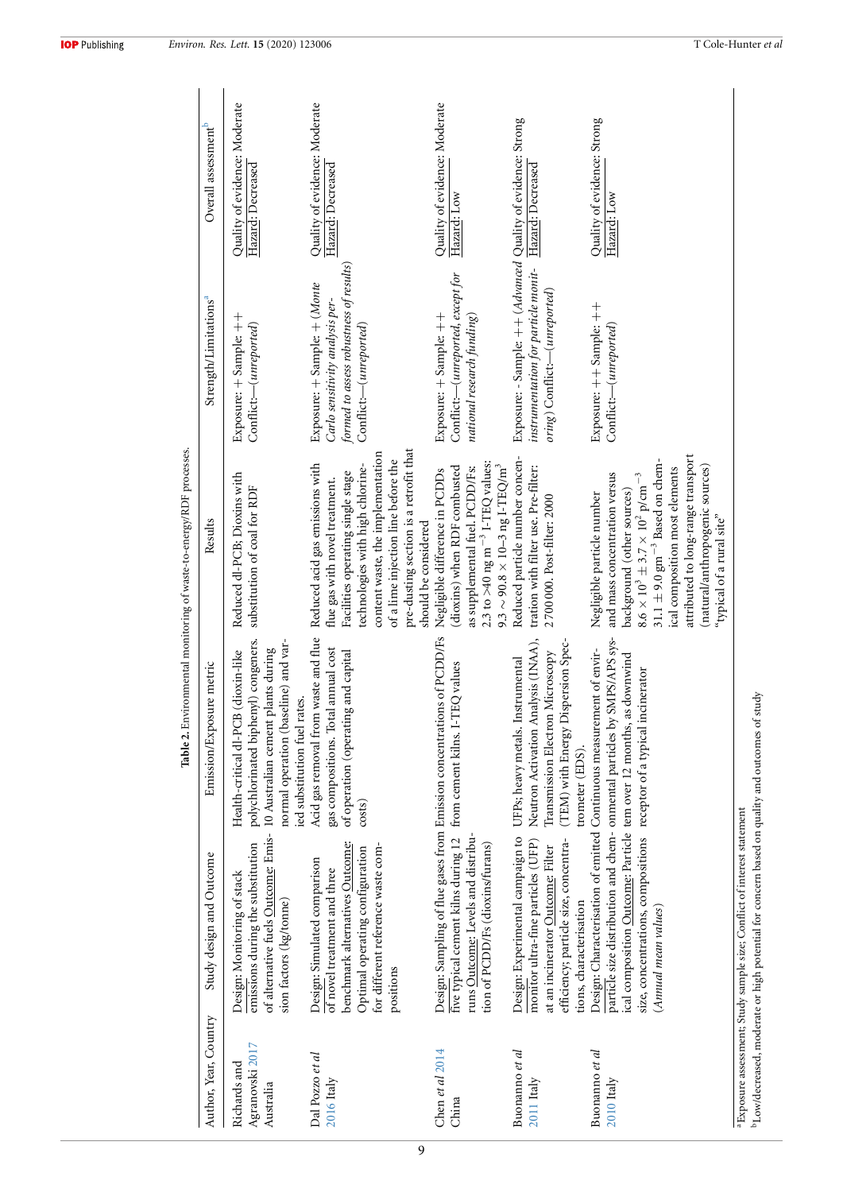|                                              |                                                                                                                                                                                       |                                                                                                                                                                                              | Table 2. Environmental monitoring of waste-to-energy/RDF processes.                                                                                                                                                                                                                                                                    |                                                                                                                                                 |                                                    |
|----------------------------------------------|---------------------------------------------------------------------------------------------------------------------------------------------------------------------------------------|----------------------------------------------------------------------------------------------------------------------------------------------------------------------------------------------|----------------------------------------------------------------------------------------------------------------------------------------------------------------------------------------------------------------------------------------------------------------------------------------------------------------------------------------|-------------------------------------------------------------------------------------------------------------------------------------------------|----------------------------------------------------|
| Author, Year, Country                        | Study design and Outcome                                                                                                                                                              | Emission/Exposure metric                                                                                                                                                                     | Results                                                                                                                                                                                                                                                                                                                                | Strength/Limitations <sup>a</sup>                                                                                                               | Overall assessment <sup>b</sup>                    |
| Agranovski 2017<br>Richards and<br>Australia | of alternative fuels Outcome: Emis-<br>emissions during the substitution<br>Design: Monitoring of stack<br>sion factors (kg/tonne)                                                    | polychlorinated biphenyl) congeners.<br>normal operation (baseline) and var-<br>10 Australian cement plants during<br>(dioxin-like<br>ied substitution fuel rates.<br>Health-critical dl-PCB | Reduced dl-PCB; Dioxins with<br>substitution of coal for RDF                                                                                                                                                                                                                                                                           | Exposure: + Sample: ++<br>Conflict:-(unreported)                                                                                                | Quality of evidence: Moderate<br>Hazard: Decreased |
| Dal Pozzo et al<br>$2016$ Italy              | benchmark alternatives Outcome:<br>for different reference waste com-<br>Optimal operating configuration<br>Design: Simulated comparison<br>of novel treatment and three<br>positions | Acid gas removal from waste and flue<br>annual cost<br>of operation (operating and capital<br>gas compositions. Total<br>costs)                                                              | pre-dusting section is a retrofit that<br>content waste, the implementation<br>of a lime injection line before the<br>Reduced acid gas emissions with<br>technologies with high chlorine-<br>Facilities operating single stage<br>flue gas with novel treatment.<br>should be considered                                               | formed to assess robustness of results)<br>Exposure: + Sample: + (Monte<br>Carlo sensitivity analysis per-<br>Conflict:--(unreported)           | Quality of evidence: Moderate<br>Hazard: Decreased |
| Chen et al $2014$<br>China                   | runs Outcome: Levels and distribu-<br>five typical cement kilns during 12<br>tion of PCDD/Fs (dioxins/furans)                                                                         | Design: Sampling of flue gases from Emission concentrations of PCDD/Fs<br>EQ values<br>from cement kilns. I-T                                                                                | 2.3 to >40 ng m <sup>-3</sup> I-TEQ values:<br>$9.3 \sim 90.8 \times 10\text{--}3 \text{ ng I-TEQ/m}^3$<br>(dioxins) when RDF combusted<br>as supplemental fuel. PCDD/Fs:<br>Negligible difference in PCDDs                                                                                                                            | Conflict:--(unreported, except for<br>Exposure: + Sample: ++<br>national research funding)                                                      | Quality of evidence: Moderate<br>Hazard: Low       |
| Buonanno et al<br>$2011$ Italy               | Design: Experimental campaign to<br>efficiency; particle size, concentra-<br>monitor ultra-fine particles (UFP)<br>at an incinerator Outcome: Filter<br>tions, characterisation       | Neutron Activation Analysis (INAA),<br>(TEM) with Energy Dispersion Spec-<br>Microscopy<br>UFPs; heavy metals. Instrumental<br>Transmission Electron<br>trometer (EDS)                       | Reduced particle number concen-<br>tration with filter use. Pre-filter:<br>2700000. Post-filter: 2000                                                                                                                                                                                                                                  | Exposure: - Sample: ++ (Advanced Quality of evidence: Strong<br>instrumentation for particle monit-<br>$\textit{orig}$ ) Conflict:—(unreported) | Hazard: Decreased                                  |
| Buonanno et al<br>$2010$ Italy               | ical composition Outcome: Particle tem over 12 months, as downwind<br>size, concentrations, compositions receptor of a typical incinerator<br>(Annual mean values)                    | particle size distribution and chem- onmental particles by SMPS/APS sys-<br>Design: Characterisation of emitted Continuous measurement of envir-                                             | attributed to long-range transport<br>$31.1 \pm 9.0$ $\rm gm^{-3}$ Based on chem-<br>(natural/anthropogenic sources)<br>ical composition most elements<br>and mass concentration versus<br>$8.6\times10^3\pm3.7\times10^2$ p/cm <sup>-3</sup><br>background (other sources)<br>Negligible particle number<br>"typical of a rural site" | Exposure: ++ Sample: ++<br>Conflict:--(unreported)                                                                                              | Quality of evidence: Strong<br>Hazard: Low         |
|                                              | Low/decreased, moderate or high potential for concern based on quality and outcomes of study<br><sup>a</sup> Exposure assessment; Study sample size; Conflict of interest statement   |                                                                                                                                                                                              |                                                                                                                                                                                                                                                                                                                                        |                                                                                                                                                 |                                                    |

 $\pi$  and  $\pi$  $\ddot{\phantom{0}}$ J.  $\cdot$ l,

<span id="page-9-0"></span>9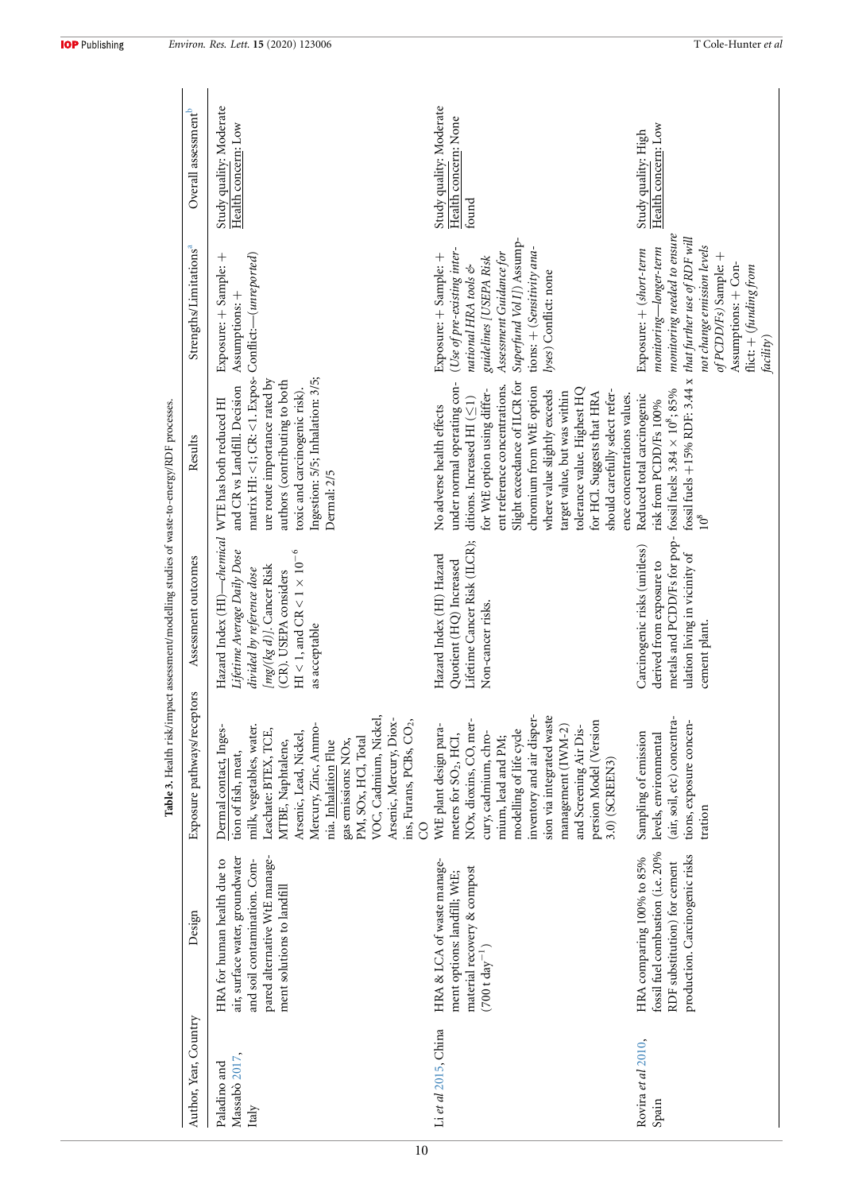|                                        |                                                                                                                                                               |                                                                                                                                                                                                                                                                                                                                                | ;<br>∫                                                                                                                                                                                                                                                |                                                                                                                                                                                                                                                                                                                                                                                                                          |                                                                                                                                                                                                                                              |                                                          |
|----------------------------------------|---------------------------------------------------------------------------------------------------------------------------------------------------------------|------------------------------------------------------------------------------------------------------------------------------------------------------------------------------------------------------------------------------------------------------------------------------------------------------------------------------------------------|-------------------------------------------------------------------------------------------------------------------------------------------------------------------------------------------------------------------------------------------------------|--------------------------------------------------------------------------------------------------------------------------------------------------------------------------------------------------------------------------------------------------------------------------------------------------------------------------------------------------------------------------------------------------------------------------|----------------------------------------------------------------------------------------------------------------------------------------------------------------------------------------------------------------------------------------------|----------------------------------------------------------|
| Author, Year, Country                  | Design                                                                                                                                                        | Exposure pathways/receptors                                                                                                                                                                                                                                                                                                                    | Assessment outcomes                                                                                                                                                                                                                                   | Results                                                                                                                                                                                                                                                                                                                                                                                                                  | Strengths/Limitations <sup>a</sup>                                                                                                                                                                                                           | Overall assessment <sup>b</sup>                          |
| Massabò 2017,<br>Paladino and<br>Italy | pared alternative WtE manage-<br>air, surface water, groundwater<br>and soil contamination. Com-<br>HRA for human health due to<br>ment solutions to landfill | VOC, Cadmium, Nickel,<br>Arsenic, Mercury, Diox-<br>ins, Furans, $PCBs$ , $CO2$ ,<br>Mercury, Zinc, Ammo-<br>milk, vegetables, water.<br>Dermal contact, Inges-<br>Leachate: BTEX, TCE,<br>Arsenic, Lead, Nickel,<br>PM, SOx, HCl, Total<br>nia. Inhalation Flue<br>gas emissions: $\rm{NOx}$<br>MTBE, Naphtalene,<br>tion of fish, meat,<br>8 | Hazard Index (HI)-chemical WTE has both reduced HI<br>HI < 1, and CR < 1 $\times$ 10 $^{-6}$<br>Lifetime Average Daily Dose<br>$\left[\textit{mg/(kg d)}\right]$ . Cancer Risk<br>divided by reference dose<br>(CR). USEPA considers<br>as acceptable | matrix HI: <1; CR: <1. Expos-<br>Ingestion: 5/5; Inhalation: 3/5;<br>ure route importance rated by<br>authors (contributing to both<br>and CR vs Landfill. Decision<br>toxic and carcinogenic risk).<br>Dermal: 2/5                                                                                                                                                                                                      | Conflict:—(unreported)<br>Exposure: + Sample: +<br>Assumptions: +                                                                                                                                                                            | Study quality: Moderate<br>Health concern: Low           |
| Li et al 2015, China                   | HRA & LCA of waste manage-<br>material recovery & compost<br>ment options: landfill; WtE;<br>$(700 t \text{ day}^{-1})$                                       | inventory and air disper-<br>sion via integrated waste<br>NO <sub>x</sub> , dioxins, CO, mer-<br>persion Model (Version<br>WtE plant design para-<br>management (IWM-2)<br>and Screening Air Dis-<br>modelling of life cycle<br>cury, cadmium, chro-<br>meters for SO <sub>2</sub> , HCI,<br>mium, lead and PM;<br>3.0) (SCREEN3)              | Lifetime Cancer Risk (ILCR);<br>Hazard Index (HI) Hazard<br>Quotient (HQ) Increased<br>Non-cancer risks.                                                                                                                                              | under normal operating con-<br>Slight exceedance of ILCR for<br>ent reference concentrations.<br>chromium from WtE option<br>tolerance value. Highest HQ<br>for WtE option using differ-<br>where value slightly exceeds<br>should carefully select refer-<br>target value, but was within<br>for HCl. Suggests that HRA<br>ence concentrations values.<br>ditions. Increased HI $(\leq 1)$<br>No adverse health effects | Superfund Vol I]) Assump-<br>tions: + (Sensitivity ana-<br>(Use of pre-existing inter-<br>Assessment Guidance for<br>Exposure: + Sample: +<br>guidelines [USEPA Risk<br>national HRA tools $\mathfrak{G}$<br>yses) Conflict: none            | Study quality: Moderate<br>Health concern: None<br>found |
| Rovira et al 2010,<br>Spain            | fossil fuel combustion (i.e. 20%<br>production. Carcinogenic risks<br>HRA comparing 100% to 85%<br>RDF substitution) for cement                               | (air, soil, etc) concentra-<br>tions, exposure concen-<br>Sampling of emission<br>levels, environmental<br>tration                                                                                                                                                                                                                             | metals and PCDD/Fs for pop-<br>Carcinogenic risks (unitless)<br>ulation living in vicinity of<br>derived from exposure to<br>cement plant.                                                                                                            | fossil fuels $+15%$ RDF: 3.44 x<br>fossil fuels: $3.84\times10^8;85\%$<br>Reduced total carcinogenic<br>risk from PCDD/Fs 100%                                                                                                                                                                                                                                                                                           | monitoring needed to ensure<br>that further use of RDF will<br>not change emission levels<br>$monitoring$ — $long$ er-term<br>Exposure: + (short-term<br>of PCDD/Fs) Sample: +<br>Assumptions: + Con-<br>flict: + (funding from<br>facility) | Health concern: Low<br>Study quality: High               |

Table 3. Health risk/impact assessment/modelling studies of waste-to-energy/RDF processes. **Table 3.** Health risk/impact assessment/modelling studies of waste-to-energy/RDF processes.

<span id="page-10-0"></span>10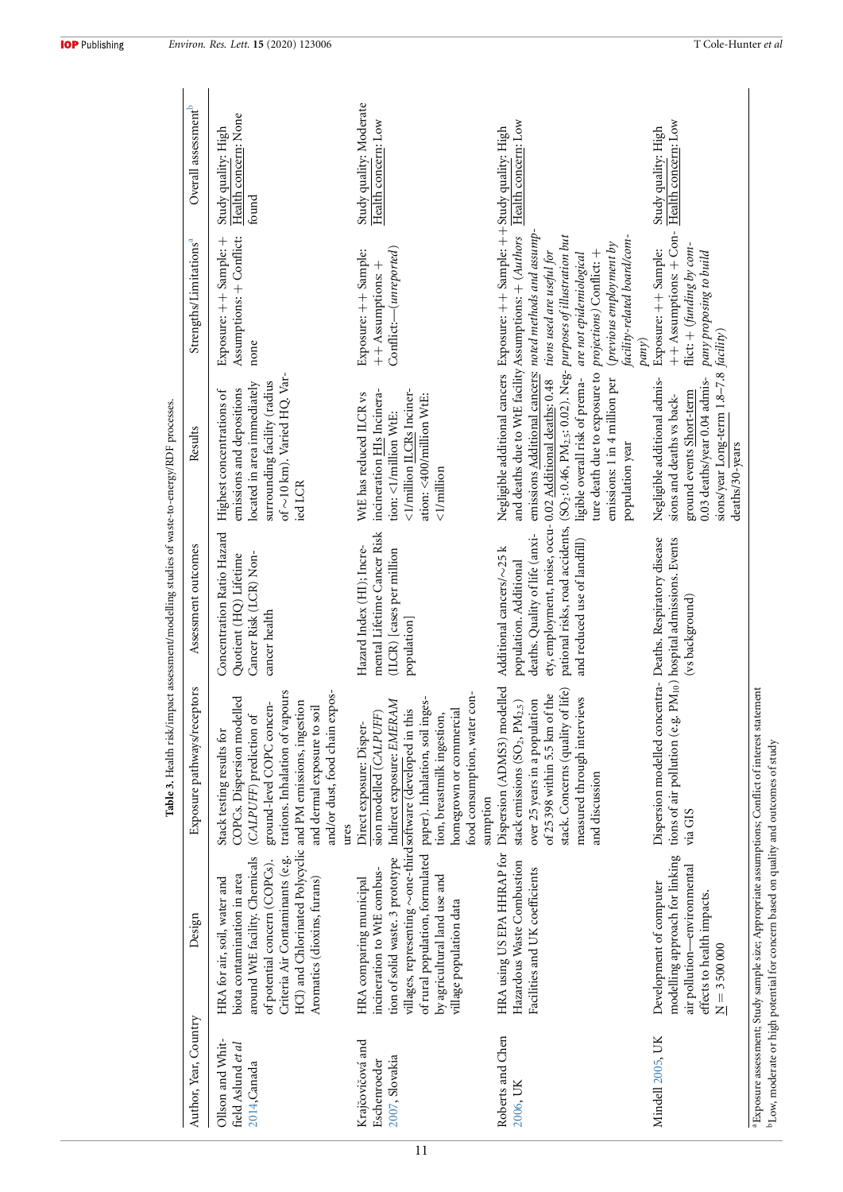|                                                        |                                                                                                                                                                                                                                                                                          |                                                                                                                                                                                                                                                     | Table 3. Health risk/impact assessment/modelling studies of waste-to-energy/RDF processes.                                                                                                                            |                                                                                                                                                                                                                                                                                                                                                                                                                |                                                                                                                         |                                                      |
|--------------------------------------------------------|------------------------------------------------------------------------------------------------------------------------------------------------------------------------------------------------------------------------------------------------------------------------------------------|-----------------------------------------------------------------------------------------------------------------------------------------------------------------------------------------------------------------------------------------------------|-----------------------------------------------------------------------------------------------------------------------------------------------------------------------------------------------------------------------|----------------------------------------------------------------------------------------------------------------------------------------------------------------------------------------------------------------------------------------------------------------------------------------------------------------------------------------------------------------------------------------------------------------|-------------------------------------------------------------------------------------------------------------------------|------------------------------------------------------|
| Author, Year, Country                                  | Design                                                                                                                                                                                                                                                                                   | Exposure pathways/receptors                                                                                                                                                                                                                         | Assessment outcomes                                                                                                                                                                                                   | Results                                                                                                                                                                                                                                                                                                                                                                                                        | Strengths/Limitations <sup>a</sup>                                                                                      | Overall assessment <sup>b</sup>                      |
| Ollson and Whit-<br>field Aslund et al<br>2014, Canada | HCl) and Chlorinated Polycyclic and PM emissions, ingestion<br>Criteria Air Contaminants (e.g.<br>around WtE facility. Chemicals<br>of potential concern (COPCs).<br>biota contamination in area<br>HRA for air, soil, water and<br>Aromatics (dioxins, furans)                          | and/or dust, food chain expos-<br>trations. Inhalation of vapours<br>COPCs. Dispersion modelled<br>ground-level COPC concen-<br>and dermal exposure to soil<br>$\left(CALPUFF\right)$ prediction of<br>Stack testing results for<br>ures            | Concentration Ratio Hazard<br>Cancer Risk (LCR) Non-<br>Quotient (HQ) Lifetime<br>cancer health                                                                                                                       | of $\sim$ 10 km). Varied HQ. Var-<br>surrounding facility (radius<br>located in area immediately<br>emissions and depositions<br>Highest concentrations of<br>ied LCR                                                                                                                                                                                                                                          | Assumptions: + Conflict:<br>Exposure: ++ Sample: +<br>none                                                              | Health concern: None<br>Study quality: High<br>found |
| Krajčovičová and<br>2007, Slovakia<br>Eschenroeder     | of rural population, formulated paper). Inhalation, soil inges-<br>villages, representing ~one-thirdsoftware (developed in this<br>tion of solid waste. 3 prototype<br>incineration to WtE combus-<br>by agricultural land use and<br>HRA comparing municipal<br>village population data | $\cdot$ con-<br>Indirect exposure: EMERAM<br>homegrown or commercial<br>sion modelled (CALPUFF)<br>tion, breastmilk ingestion,<br>Direct exposure: Disper-<br>food consumption, water<br>sumption                                                   | mental Lifetime Cancer Risk<br>Hazard Index (HI); Incre-<br>$(\mathrm{ILCR})$ [cases per million<br>population]                                                                                                       | incineration HIs Incinera-<br><1/million ILCRs Inciner-<br>WtE has reduced ILCR vs<br>ation: <400/million WtE:<br>tion: <1/million WtE:<br><1/million                                                                                                                                                                                                                                                          | Conflict:--(unreported)<br>Exposure: ++ Sample:<br>$++$ Assumptions: $+$                                                | Study quality: Moderate<br>Health concern: Low       |
| Roberts and Chen<br>2006, UK                           | Hazardous Waste Combustion<br>Facilities and UK coefficients                                                                                                                                                                                                                             | HRA using US EPA HHRAP for Dispersion (ADMS3) modelled<br>of life)<br>of 25398 within 5.5 km of the<br>measured through interviews<br>over 25 years in a population<br>stack emissions $(SO2, PM2.5)$<br>stack. Concerns (quality<br>and discussion | ety, employment, noise, occu- 0.02 Additional deaths: 0.48<br>pational risks, road accidents,<br>deaths. Quality of life (anxi-<br>and reduced use of landfill)<br>Additional cancers/~25 k<br>population. Additional | Negligible additional cancers Exposure: ++ Sample: ++Study quality: High<br>and deaths due to WtE facility Assumptions: + (Authors<br>emissions Additional cancers: noted methods and assump<br>$(SO2: 0.46, PM2.5: 0.02)$ . Neg- purposes of illustration but<br>ture death due to exposure to projections) Conflict: +<br>ligible overall risk of prema-<br>emissions: 1 in 4 million per<br>population year | facility-related board/com-<br>(previous employment by<br>tions used are useful for<br>are not epidemiological<br>pany) | Health concern: Low                                  |
| Mindell 2005, UK                                       | modelling approach for linking<br>air pollution-environmental<br>Development of computer<br>effects to health impacts.<br>$\bar{M} = 35000000$                                                                                                                                           | Dispersion modelled concentra- Deaths. Respiratory disease<br>tions of air pollution (e.g. PM10) hospital admissions. Events<br>via GIS                                                                                                             | (vs background)                                                                                                                                                                                                       | sions/year Long-term 1.8-7.8 facility)<br>0.03 deaths/year 0.04 admis-<br>Negligible additional admis-<br>ground events Short-term<br>sions and deaths vs back-<br>deaths/30-years                                                                                                                                                                                                                             | ++ Assumptions: + Con-<br>flict: + (funding by com-<br>Exposure: ++ Sample:<br>pany proposing to build                  | Health concern: Low<br>Study quality: High           |
|                                                        | <sup>a</sup> Exposure assessment; Study sample size; Appropriate assumptions; Conflict of interest star<br>bLow, moderate or high potential for concern based on quality and outcomes of study                                                                                           | tement                                                                                                                                                                                                                                              |                                                                                                                                                                                                                       |                                                                                                                                                                                                                                                                                                                                                                                                                |                                                                                                                         |                                                      |

11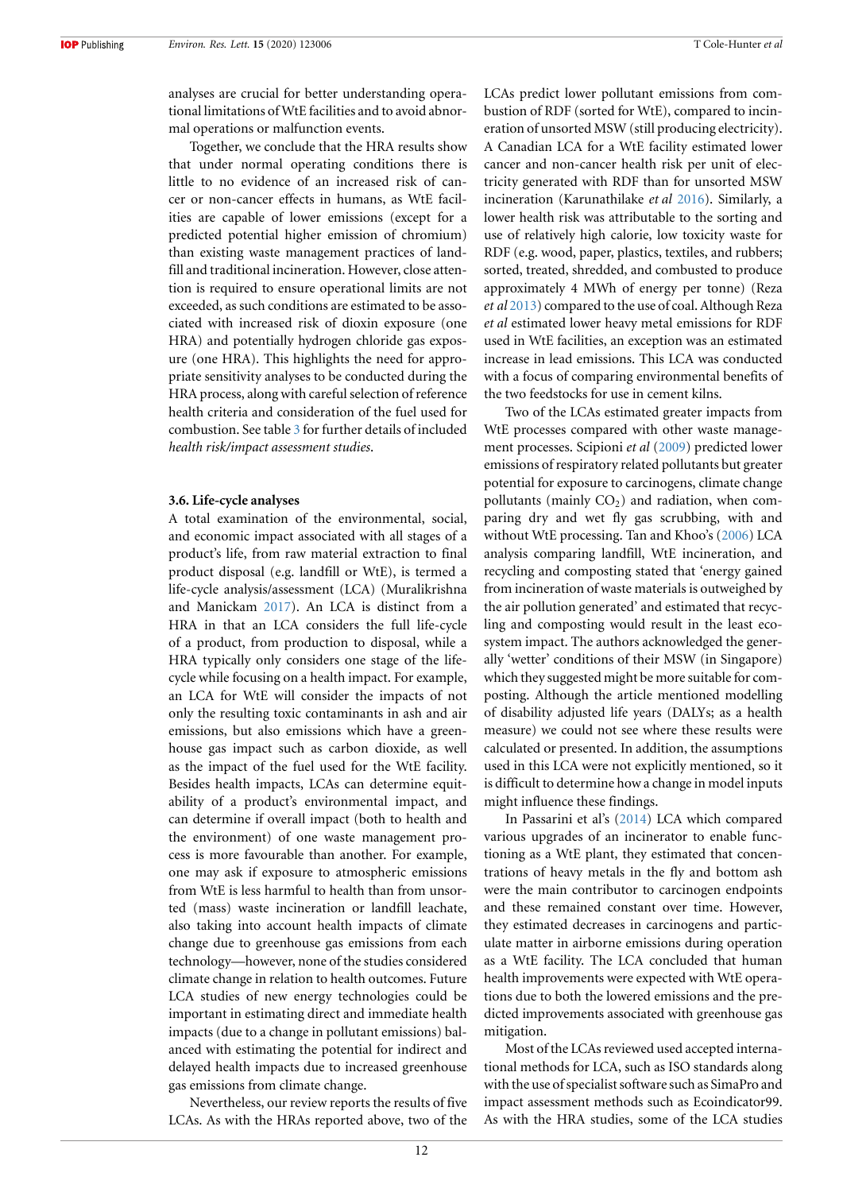analyses are crucial for better understanding operational limitations of WtE facilities and to avoid abnormal operations or malfunction events.

Together, we conclude that the HRA results show that under normal operating conditions there is little to no evidence of an increased risk of cancer or non-cancer effects in humans, as WtE facilities are capable of lower emissions (except for a predicted potential higher emission of chromium) than existing waste management practices of landfill and traditional incineration. However, close attention is required to ensure operational limits are not exceeded, as such conditions are estimated to be associated with increased risk of dioxin exposure (one HRA) and potentially hydrogen chloride gas exposure (one HRA). This highlights the need for appropriate sensitivity analyses to be conducted during the HRA process, along with careful selection of reference health criteria and consideration of the fuel used for combustion. See table [3](#page-10-0) for further details of included *health risk/impact assessment studies*.

#### **3.6. Life-cycle analyses**

A total examination of the environmental, social, and economic impact associated with all stages of a product's life, from raw material extraction to final product disposal (e.g. landfill or WtE), is termed a life-cycle analysis/assessment (LCA) (Muralikrishna and Manickam [2017\)](#page-17-26). An LCA is distinct from a HRA in that an LCA considers the full life-cycle of a product, from production to disposal, while a HRA typically only considers one stage of the lifecycle while focusing on a health impact. For example, an LCA for WtE will consider the impacts of not only the resulting toxic contaminants in ash and air emissions, but also emissions which have a greenhouse gas impact such as carbon dioxide, as well as the impact of the fuel used for the WtE facility. Besides health impacts, LCAs can determine equitability of a product's environmental impact, and can determine if overall impact (both to health and the environment) of one waste management process is more favourable than another. For example, one may ask if exposure to atmospheric emissions from WtE is less harmful to health than from unsorted (mass) waste incineration or landfill leachate, also taking into account health impacts of climate change due to greenhouse gas emissions from each technology—however, none of the studies considered climate change in relation to health outcomes. Future LCA studies of new energy technologies could be important in estimating direct and immediate health impacts (due to a change in pollutant emissions) balanced with estimating the potential for indirect and delayed health impacts due to increased greenhouse gas emissions from climate change.

Nevertheless, our review reports the results of five LCAs. As with the HRAs reported above, two of the

LCAs predict lower pollutant emissions from combustion of RDF (sorted for WtE), compared to incineration of unsorted MSW (still producing electricity). A Canadian LCA for a WtE facility estimated lower cancer and non-cancer health risk per unit of electricity generated with RDF than for unsorted MSW incineration (Karunathilake *et al* [2016\)](#page-17-17). Similarly, a lower health risk was attributable to the sorting and use of relatively high calorie, low toxicity waste for RDF (e.g. wood, paper, plastics, textiles, and rubbers; sorted, treated, shredded, and combusted to produce approximately 4 MWh of energy per tonne) (Reza *et al* [2013](#page-18-17)) compared to the use of coal. Although Reza *et al* estimated lower heavy metal emissions for RDF used in WtE facilities, an exception was an estimated increase in lead emissions. This LCA was conducted with a focus of comparing environmental benefits of the two feedstocks for use in cement kilns.

Two of the LCAs estimated greater impacts from WtE processes compared with other waste management processes. Scipioni *et al* [\(2009](#page-18-18)) predicted lower emissions of respiratory related pollutants but greater potential for exposure to carcinogens, climate change pollutants (mainly  $CO<sub>2</sub>$ ) and radiation, when comparing dry and wet fly gas scrubbing, with and without WtE processing. Tan and Khoo's([2006\)](#page-18-19) LCA analysis comparing landfill, WtE incineration, and recycling and composting stated that 'energy gained from incineration of waste materials is outweighed by the air pollution generated' and estimated that recycling and composting would result in the least ecosystem impact. The authors acknowledged the generally 'wetter' conditions of their MSW (in Singapore) which they suggested might be more suitable for composting. Although the article mentioned modelling of disability adjusted life years (DALYs; as a health measure) we could not see where these results were calculated or presented. In addition, the assumptions used in this LCA were not explicitly mentioned, so it is difficult to determine how a change in model inputs might influence these findings.

In Passarini et al's([2014\)](#page-18-20) LCA which compared various upgrades of an incinerator to enable functioning as a WtE plant, they estimated that concentrations of heavy metals in the fly and bottom ash were the main contributor to carcinogen endpoints and these remained constant over time. However, they estimated decreases in carcinogens and particulate matter in airborne emissions during operation as a WtE facility. The LCA concluded that human health improvements were expected with WtE operations due to both the lowered emissions and the predicted improvements associated with greenhouse gas mitigation.

Most of the LCAs reviewed used accepted international methods for LCA, such as ISO standards along with the use of specialist software such as SimaPro and impact assessment methods such as Ecoindicator99. As with the HRA studies, some of the LCA studies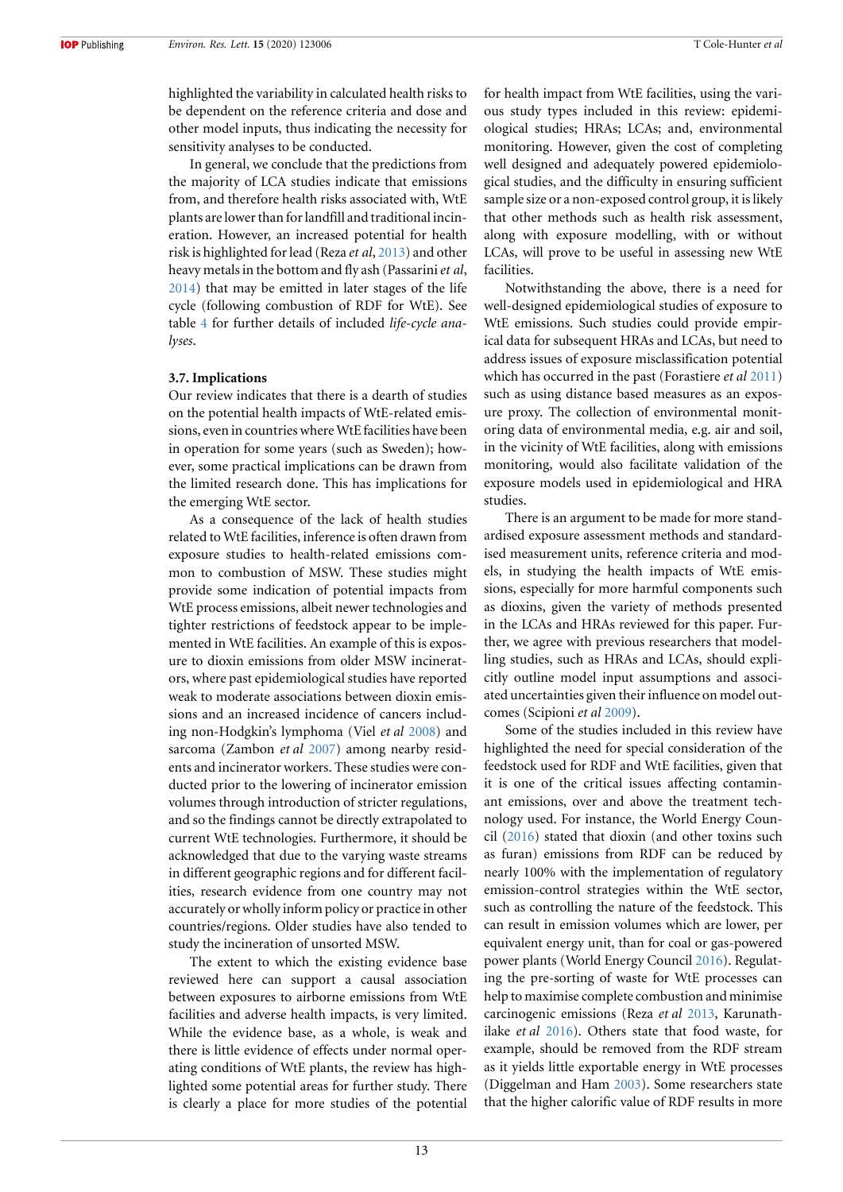highlighted the variability in calculated health risks to be dependent on the reference criteria and dose and other model inputs, thus indicating the necessity for sensitivity analyses to be conducted.

In general, we conclude that the predictions from the majority of LCA studies indicate that emissions from, and therefore health risks associated with, WtE plants are lower than for landfill and traditional incineration. However, an increased potential for health risk is highlighted for lead (Reza *et al*, [2013](#page-18-17)) and other heavy metals in the bottom and fly ash (Passarini*et al*, [2014](#page-18-20)) that may be emitted in later stages of the life cycle (following combustion of RDF for WtE). See table [4](#page-14-0) for further details of included *life-cycle analyses*.

#### **3.7. Implications**

Our review indicates that there is a dearth of studies on the potential health impacts of WtE-related emissions, even in countries where WtE facilities have been in operation for some years (such as Sweden); however, some practical implications can be drawn from the limited research done. This has implications for the emerging WtE sector.

As a consequence of the lack of health studies related to WtE facilities, inference is often drawn from exposure studies to health-related emissions common to combustion of MSW. These studies might provide some indication of potential impacts from WtE process emissions, albeit newer technologies and tighter restrictions of feedstock appear to be implemented in WtE facilities. An example of this is exposure to dioxin emissions from older MSW incinerators, where past epidemiological studies have reported weak to moderate associations between dioxin emissions and an increased incidence of cancers including non-Hodgkin's lymphoma (Viel *et al* [2008\)](#page-18-21) and sarcoma (Zambon *et al* [2007](#page-18-22)) among nearby residents and incinerator workers. These studies were conducted prior to the lowering of incinerator emission volumes through introduction of stricter regulations, and so the findings cannot be directly extrapolated to current WtE technologies. Furthermore, it should be acknowledged that due to the varying waste streams in different geographic regions and for different facilities, research evidence from one country may not accurately or wholly inform policy or practice in other countries/regions. Older studies have also tended to study the incineration of unsorted MSW.

The extent to which the existing evidence base reviewed here can support a causal association between exposures to airborne emissions from WtE facilities and adverse health impacts, is very limited. While the evidence base, as a whole, is weak and there is little evidence of effects under normal operating conditions of WtE plants, the review has highlighted some potential areas for further study. There is clearly a place for more studies of the potential for health impact from WtE facilities, using the various study types included in this review: epidemiological studies; HRAs; LCAs; and, environmental monitoring. However, given the cost of completing well designed and adequately powered epidemiological studies, and the difficulty in ensuring sufficient sample size or a non-exposed control group, it is likely that other methods such as health risk assessment, along with exposure modelling, with or without LCAs, will prove to be useful in assessing new WtE facilities.

Notwithstanding the above, there is a need for well-designed epidemiological studies of exposure to WtE emissions. Such studies could provide empirical data for subsequent HRAs and LCAs, but need to address issues of exposure misclassification potential which has occurred in the past (Forastiere *et al* [2011](#page-17-27)) such as using distance based measures as an exposure proxy. The collection of environmental monitoring data of environmental media, e.g. air and soil, in the vicinity of WtE facilities, along with emissions monitoring, would also facilitate validation of the exposure models used in epidemiological and HRA studies.

There is an argument to be made for more standardised exposure assessment methods and standardised measurement units, reference criteria and models, in studying the health impacts of WtE emissions, especially for more harmful components such as dioxins, given the variety of methods presented in the LCAs and HRAs reviewed for this paper. Further, we agree with previous researchers that modelling studies, such as HRAs and LCAs, should explicitly outline model input assumptions and associated uncertainties given their influence on model outcomes (Scipioni *et al* [2009](#page-18-18)).

Some of the studies included in this review have highlighted the need for special consideration of the feedstock used for RDF and WtE facilities, given that it is one of the critical issues affecting contaminant emissions, over and above the treatment technology used. For instance, the World Energy Council [\(2016\)](#page-18-0) stated that dioxin (and other toxins such as furan) emissions from RDF can be reduced by nearly 100% with the implementation of regulatory emission-control strategies within the WtE sector, such as controlling the nature of the feedstock. This can result in emission volumes which are lower, per equivalent energy unit, than for coal or gas-powered power plants (World Energy Council [2016\)](#page-18-0). Regulating the pre-sorting of waste for WtE processes can help to maximise complete combustion and minimise carcinogenic emissions (Reza *et al* [2013,](#page-18-17) Karunathilake *et al* [2016\)](#page-17-17). Others state that food waste, for example, should be removed from the RDF stream as it yields little exportable energy in WtE processes (Diggelman and Ham [2003\)](#page-17-28). Some researchers state that the higher calorific value of RDF results in more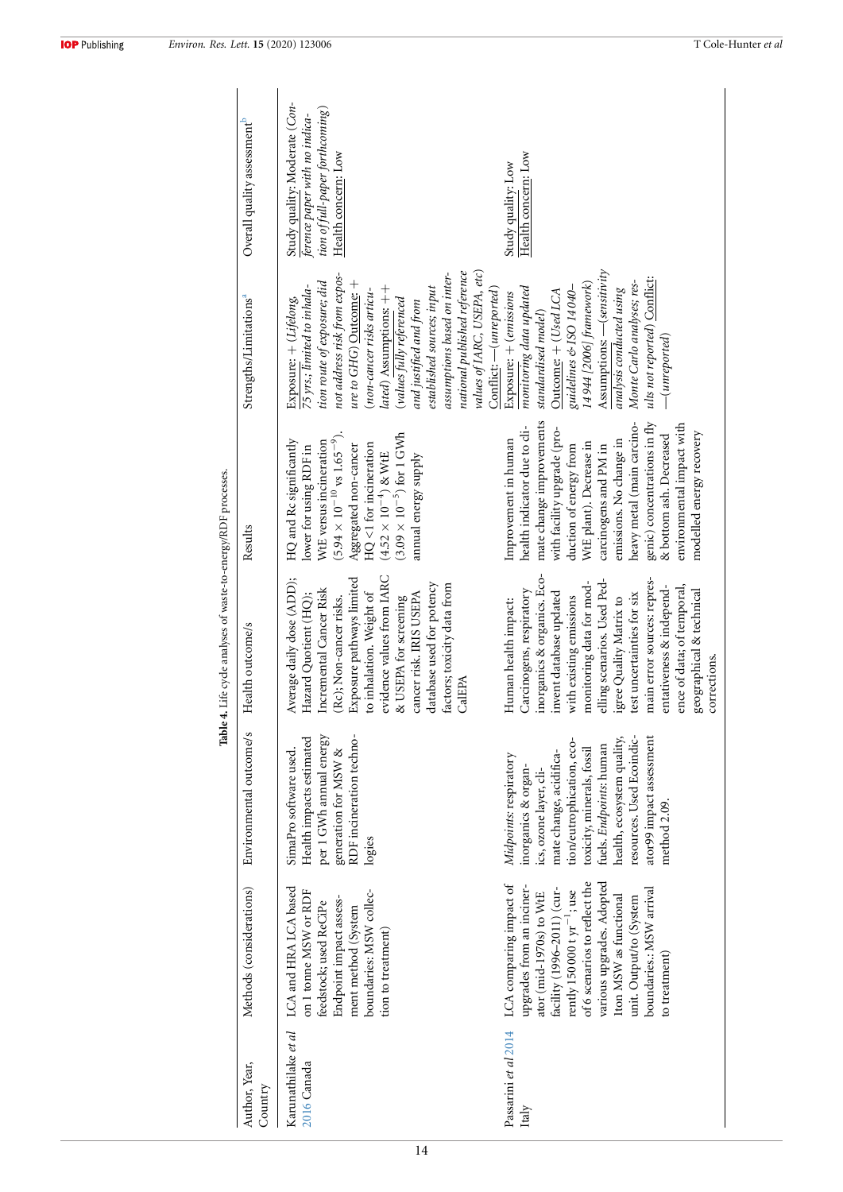|                                    |                                                                                                                                                                                                                                                                                                                   |                                                                                                                                                                                                                                                                                                 | Table 4. Life cycle analyses of waste-to-energy/RDF processes.                                                                                                                                                                                                                                                                                                                                 |                                                                                                                                                                                                                                                                                                                                                                            |                                                                                                                                                                                                                                                                                                                                                                                                                          |                                                                                                                          |
|------------------------------------|-------------------------------------------------------------------------------------------------------------------------------------------------------------------------------------------------------------------------------------------------------------------------------------------------------------------|-------------------------------------------------------------------------------------------------------------------------------------------------------------------------------------------------------------------------------------------------------------------------------------------------|------------------------------------------------------------------------------------------------------------------------------------------------------------------------------------------------------------------------------------------------------------------------------------------------------------------------------------------------------------------------------------------------|----------------------------------------------------------------------------------------------------------------------------------------------------------------------------------------------------------------------------------------------------------------------------------------------------------------------------------------------------------------------------|--------------------------------------------------------------------------------------------------------------------------------------------------------------------------------------------------------------------------------------------------------------------------------------------------------------------------------------------------------------------------------------------------------------------------|--------------------------------------------------------------------------------------------------------------------------|
| Author, Year,<br>Country           | Methods (considerations)                                                                                                                                                                                                                                                                                          | Environmental outcome/s                                                                                                                                                                                                                                                                         | Health outcome/s                                                                                                                                                                                                                                                                                                                                                                               | Results                                                                                                                                                                                                                                                                                                                                                                    | Strengths/Limitations <sup>a</sup>                                                                                                                                                                                                                                                                                                                                                                                       | Overall quality assessment <sup>b</sup>                                                                                  |
| Karunathilake et al<br>2016 Canada | LCA and HRA LCA based<br>on 1 tonne MSW or RDF<br>boundaries: MSW collec-<br>Endpoint impact assess-<br>feedstock; used ReCiPe<br>ment method (System<br>tion to treatment)                                                                                                                                       | Health impacts estimated<br>per 1 GWh annual energy<br>RDF incineration techno-<br>SimaPro software used.<br>generation for MSW &<br>logies                                                                                                                                                     | evidence values from IARC<br>Average daily dose (ADD);<br>Exposure pathways limited<br>database used for potency<br>factors; toxicity data from<br>Incremental Cancer Risk<br>to inhalation. Weight of<br>cancer risk. IRIS USEPA<br>Hazard Quotient (HQ);<br>& USEPA for screening<br>(Rc); Non-cancer risks.<br>CalEPA                                                                       | $(5.94 \times 10^{-10} \text{ vs } 1.65^{-9}).$<br>$(3.09\times10^{-5})$ for 1 GWh<br>HQ and Rc significantly<br>WtE versus incineration<br>$HQ < 1$ for incineration<br>Aggregated non-cancer<br>lower for using RDF in<br>$(4.52\times10^{-4})$ & WtE<br>annual energy supply                                                                                            | national published reference<br>values of IARC, USEPA, etc)<br>assumptions based on inter-<br>not address risk from expos-<br>ure to $GHG$ ) Outcome: $+$<br>tion route of exposure; did<br>75 yrs.; limited to inhala-<br>established sources; input<br>lated) Assumptions: ++<br>Conflict: — (unreported)<br>(non-cancer risks articu-<br>Exposure: + (Lifelong,<br>(values fully referenced<br>and justified and from | Study quality: Moderate (Con-<br>tion of full-paper forthcoming)<br>ference paper with no indica-<br>Health concern: Low |
| Passarini et al 2014<br>Italy      | of 6 scenarios to reflect the<br>various upgrades. Adopted<br>LCA comparing impact of<br>upgrades from an inciner-<br>facility (1996-2011) (cur-<br>boundaries.: MSW arrival<br>rently 150 000 t $yr^{-1}$ ; use<br>ator (mid-1970s) to WtE<br>1ton MSW as functional<br>unit. Output/to (System<br>to treatment) | resources. Used Ecoindic-<br>health, ecosystem quality,<br>ator99 impact assessment<br>tion/eutrophication, eco-<br>fuels. Endpoints: human<br>toxicity, minerals, fossil<br>mate change, acidifica-<br>Midpoints: respiratory<br>inorganics & organ-<br>ics, ozone layer, cli-<br>method 2.09. | inorganics & organics. Eco-<br>main error sources: repres-<br>elling scenarios. Used Ped-<br>monitoring data for mod-<br>ence of data; of temporal,<br>entativeness & independ-<br>geographical & technical<br>Carcinogens, respiratory<br>invent database updated<br>test uncertainties for six<br>with existing emissions<br>igree Quality Matrix to<br>Human health impact:<br>corrections. | mate change improvements<br>heavy metal (main carcino-<br>genic) concentrations in fly<br>environmental impact with<br>health indicator due to cli-<br>with facility upgrade (pro-<br>modelled energy recovery<br>& bottom ash. Decreased<br>emissions. No change in<br>Improvement in human<br>WtE plant). Decrease in<br>duction of energy from<br>carcinogens and PM in | Assumptions: - (sensitivity<br>ults not reported) Conflict:<br>Monte Carlo analyses; res-<br>14944 [2006] framework)<br>monitoring data updated<br>guidelines & ISO 14 040-<br>analysis conducted using<br>Outcome: + (Used LCA<br>Exposure: + (emissions<br>standardised model)<br>$-(unreported)$                                                                                                                      | Health concern: Low<br>Study quality: Low                                                                                |

<span id="page-14-0"></span>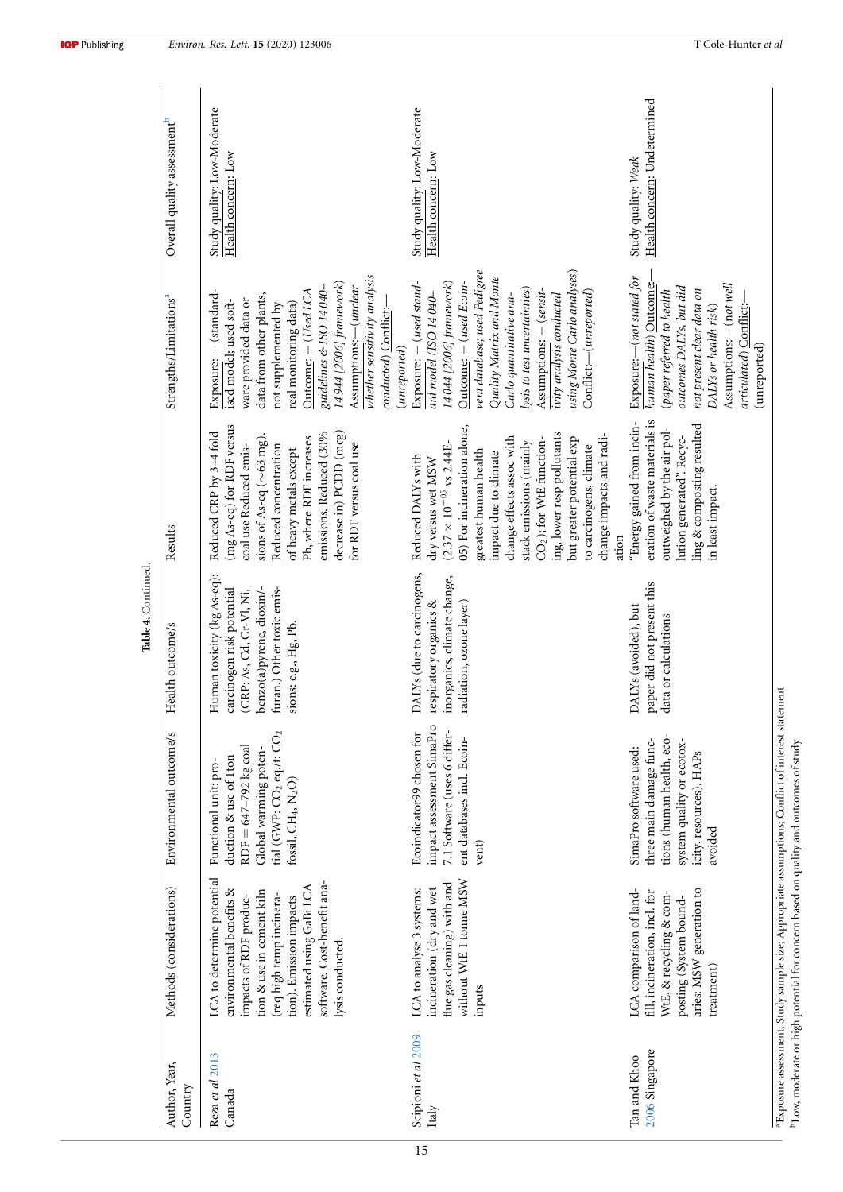|                                |                                                                                                                                                                                                                                                    |                                                                                                                                                                                        | Table 4. Continued                                                                                                                                                   |                                                                                                                                                                                                                                                                                                                                                                                           |                                                                                                                                                                                                                                                                                                                                                                  |                                                     |  |
|--------------------------------|----------------------------------------------------------------------------------------------------------------------------------------------------------------------------------------------------------------------------------------------------|----------------------------------------------------------------------------------------------------------------------------------------------------------------------------------------|----------------------------------------------------------------------------------------------------------------------------------------------------------------------|-------------------------------------------------------------------------------------------------------------------------------------------------------------------------------------------------------------------------------------------------------------------------------------------------------------------------------------------------------------------------------------------|------------------------------------------------------------------------------------------------------------------------------------------------------------------------------------------------------------------------------------------------------------------------------------------------------------------------------------------------------------------|-----------------------------------------------------|--|
| Author, Year,<br>Country       | Methods (considerations)                                                                                                                                                                                                                           | Environmental outcome/s                                                                                                                                                                | Health outcome/s                                                                                                                                                     | Results                                                                                                                                                                                                                                                                                                                                                                                   | Strengths/Limitations <sup>a</sup>                                                                                                                                                                                                                                                                                                                               | Overall quality assessment <sup>b</sup>             |  |
| Reza et al 2013<br>Canada      | LCA to determine potential<br>software. Cost-benefit ana-<br>estimated using GaBi LCA<br>environmental benefits &<br>tion & use in cement kiln<br>req high temp incinera-<br>impacts of RDF produc-<br>tion). Emission impacts<br>lysis conducted. | tial (GWP: CO <sub>2</sub> eq./t: CO <sub>2</sub><br>$RDF = 647 - 792$ kg coal<br>Global warming poten-<br>duction & use of 1ton<br>Functional unit: pro-<br>fossil, $CH_4$ , $N_2O$ ) | Human toxicity (kg As-eq):<br>benzo(a)pyrene, dioxin/-<br>furan.) Other toxic emis-<br>(CRP: As, Cd, Cr-Vl, Ni,<br>carcinogen risk potential<br>sions: e.g., Hg, Pb. | (mg As-eq) for RDF versus<br>Reduced CRP by 3-4 fold<br>emissions. Reduced (30%<br>decrease in) PCDD (mcg)<br>Pb, where RDF increases<br>sions of As-eq $(\sim 63 \text{ mg})$<br>for RDF versus coal use<br>Reduced concentration<br>coal use Reduced emis-<br>of heavy metals except                                                                                                    | whether sensitivity analysis<br>14944 [2006] framework)<br>guidelines & ISO 14 040-<br>Assumptions:--(unclear<br>Outcome: + (Used LCA<br>Exposure: + (standard-<br>data from other plants,<br>ware provided data or<br>ised model; used soft-<br>real monitoring data)<br>not supplemented by<br>conducted) Conflict:-                                           | Study quality: Low-Moderate<br>Health concern: Low  |  |
| Scipioni et al 2009<br>Italy   | without WtE 1 tonne MSW<br>flue gas cleaning) with and<br>incineration (dry and wet<br>LCA to analyse 3 systems:<br>inputs                                                                                                                         | impact assessment SimaPro<br>Ecoindicator99 chosen for<br>7.1 Software (uses 6 differ-<br>ent databases incl. Ecoin-<br>vent)                                                          | DALYs (due to carcinogens,<br>inorganics, climate change,<br>radiation, ozone layer)<br>respiratory organics &                                                       | 05) For incineration alone,<br>ing, lower resp pollutants<br>change impacts and radi-<br>change effects assoc with<br>CO <sub>2</sub> ); for WtE function-<br>but greater potential exp<br>stack emissions (mainly<br>$(2.37 \times 10^{-05}$ vs 2.44E-<br>to carcinogens, climate<br>greatest human health<br>impact due to climate<br>Reduced DALYs with<br>dry versus wet MSW<br>ation | vent database; used Pedigree<br>using Monte Carlo analyses)<br>Quality Matrix and Monte<br>Outcome: + (used Ecoin-<br>14 044 [2006] framework)<br>Exposure: + (used stand-<br>lysis to test uncertainties)<br>Assumptions: + (sensit-<br>Conflict:-(unreported)<br>Carlo quantitative ana-<br>ivity analysis conducted<br>ard model (ISO 14 040-<br>(unreported) | Study quality: Low-Moderate<br>Health concern: Low  |  |
| 2006 Singapore<br>Tan and Khoo | LCA comparison of land-<br>aries: MSW generation to<br>fill, incineration, incl. for<br>WtE, & recycling & com-<br>posting (System bound-<br>treatment)                                                                                            | tions (human health, eco-<br>three main damage func-<br>system quality or ecotox-<br>SimaPro software used:<br>icity, resources). HAPs<br>avoided                                      | paper did not present this<br>DALYs (avoided), but<br>data or calculations                                                                                           | eration of waste materials is<br>"Energy gained from incin-<br>ling & composting resulted<br>outweighed by the air pol-<br>lution generated". Recyc-<br>in least impact.                                                                                                                                                                                                                  | Exposure:- (not stated for<br>human health) Outcome:<br>Assumptions:—(not well<br>outcomes DALYs, but did<br>not present clear data on<br>(paper referred to health<br>DALYs or health risk)<br>articulated) Conflict:<br>(unreported)                                                                                                                           | Health concern: Undetermined<br>Study quality: Weak |  |

 $^{\rm a}$  Exposure assessment; Study sample size; Appropriate assumptions; Conflict of interest statement  $^{\rm b}$  Low, moderate or high potential for concern based on quality and outcomes of study aExposure assessment; Study sample size; Appropriate assumptions; Conflict of interest statement bLow, moderate or high potential for concern based on quality and outcomes of study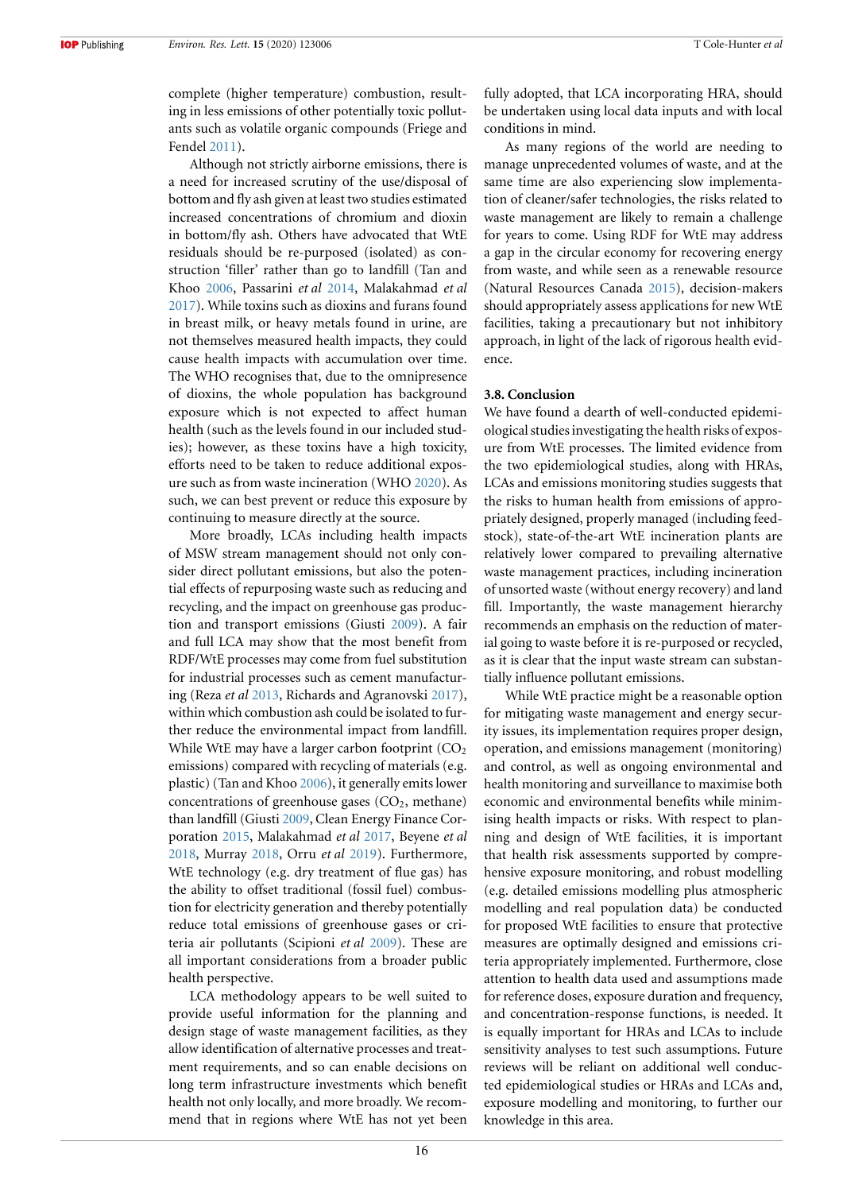complete (higher temperature) combustion, resulting in less emissions of other potentially toxic pollutants such as volatile organic compounds (Friege and Fendel [2011](#page-17-29)).

Although not strictly airborne emissions, there is a need for increased scrutiny of the use/disposal of bottom and fly ash given at least two studies estimated increased concentrations of chromium and dioxin in bottom/fly ash. Others have advocated that WtE residuals should be re-purposed (isolated) as construction 'filler' rather than go to landfill (Tan and Khoo [2006,](#page-18-19) Passarini *et al* [2014](#page-18-20), Malakahmad *et al* [2017](#page-17-30)). While toxins such as dioxins and furans found in breast milk, or heavy metals found in urine, are not themselves measured health impacts, they could cause health impacts with accumulation over time. The WHO recognises that, due to the omnipresence of dioxins, the whole population has background exposure which is not expected to affect human health (such as the levels found in our included studies); however, as these toxins have a high toxicity, efforts need to be taken to reduce additional exposure such as from waste incineration (WHO [2020\)](#page-18-23). As such, we can best prevent or reduce this exposure by continuing to measure directly at the source.

More broadly, LCAs including health impacts of MSW stream management should not only consider direct pollutant emissions, but also the potential effects of repurposing waste such as reducing and recycling, and the impact on greenhouse gas production and transport emissions (Giusti [2009](#page-17-10)). A fair and full LCA may show that the most benefit from RDF/WtE processes may come from fuel substitution for industrial processes such as cement manufacturing (Reza *et al* [2013](#page-18-17), Richards and Agranovski [2017\)](#page-18-11), within which combustion ash could be isolated to further reduce the environmental impact from landfill. While WtE may have a larger carbon footprint  $(CO<sub>2</sub>)$ emissions) compared with recycling of materials (e.g. plastic) (Tan and Khoo [2006](#page-18-19)), it generally emits lower concentrations of greenhouse gases  $(CO<sub>2</sub>)$ , methane) than landfill (Giusti [2009,](#page-17-10) Clean Energy Finance Corporation [2015](#page-17-2), Malakahmad *et al* [2017](#page-17-30), Beyene *et al* [2018](#page-17-0), Murray [2018](#page-17-31), Orru *et al* [2019](#page-18-24)). Furthermore, WtE technology (e.g. dry treatment of flue gas) has the ability to offset traditional (fossil fuel) combustion for electricity generation and thereby potentially reduce total emissions of greenhouse gases or criteria air pollutants (Scipioni *et al* [2009](#page-18-18)). These are all important considerations from a broader public health perspective.

LCA methodology appears to be well suited to provide useful information for the planning and design stage of waste management facilities, as they allow identification of alternative processes and treatment requirements, and so can enable decisions on long term infrastructure investments which benefit health not only locally, and more broadly. We recommend that in regions where WtE has not yet been fully adopted, that LCA incorporating HRA, should be undertaken using local data inputs and with local conditions in mind.

As many regions of the world are needing to manage unprecedented volumes of waste, and at the same time are also experiencing slow implementation of cleaner/safer technologies, the risks related to waste management are likely to remain a challenge for years to come. Using RDF for WtE may address a gap in the circular economy for recovering energy from waste, and while seen as a renewable resource (Natural Resources Canada [2015](#page-18-25)), decision-makers should appropriately assess applications for new WtE facilities, taking a precautionary but not inhibitory approach, in light of the lack of rigorous health evidence.

#### **3.8. Conclusion**

We have found a dearth of well-conducted epidemiological studies investigating the health risks of exposure from WtE processes. The limited evidence from the two epidemiological studies, along with HRAs, LCAs and emissions monitoring studies suggests that the risks to human health from emissions of appropriately designed, properly managed (including feedstock), state-of-the-art WtE incineration plants are relatively lower compared to prevailing alternative waste management practices, including incineration of unsorted waste (without energy recovery) and land fill. Importantly, the waste management hierarchy recommends an emphasis on the reduction of material going to waste before it is re-purposed or recycled, as it is clear that the input waste stream can substantially influence pollutant emissions.

While WtE practice might be a reasonable option for mitigating waste management and energy security issues, its implementation requires proper design, operation, and emissions management (monitoring) and control, as well as ongoing environmental and health monitoring and surveillance to maximise both economic and environmental benefits while minimising health impacts or risks. With respect to planning and design of WtE facilities, it is important that health risk assessments supported by comprehensive exposure monitoring, and robust modelling (e.g. detailed emissions modelling plus atmospheric modelling and real population data) be conducted for proposed WtE facilities to ensure that protective measures are optimally designed and emissions criteria appropriately implemented. Furthermore, close attention to health data used and assumptions made for reference doses, exposure duration and frequency, and concentration-response functions, is needed. It is equally important for HRAs and LCAs to include sensitivity analyses to test such assumptions. Future reviews will be reliant on additional well conducted epidemiological studies or HRAs and LCAs and, exposure modelling and monitoring, to further our knowledge in this area.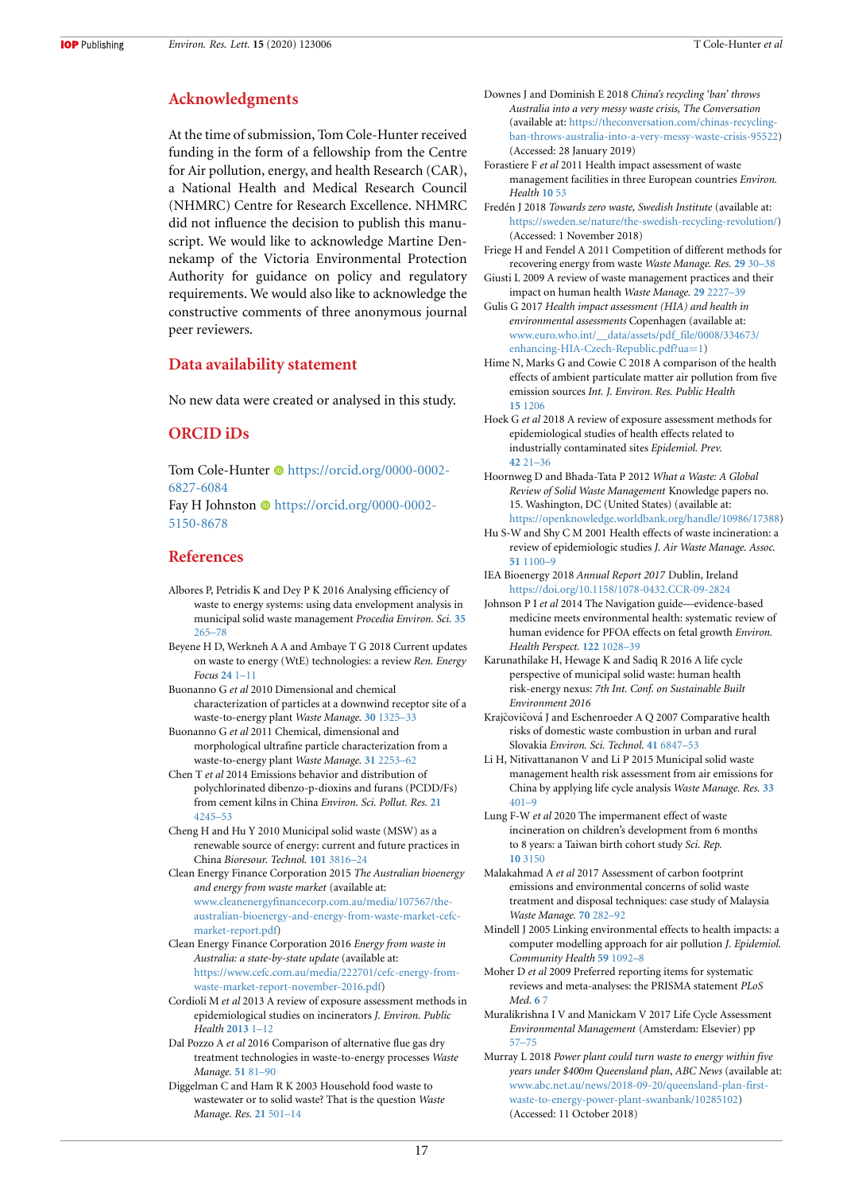## **Acknowledgments**

At the time of submission, Tom Cole-Hunter received funding in the form of a fellowship from the Centre for Air pollution, energy, and health Research (CAR), a National Health and Medical Research Council (NHMRC) Centre for Research Excellence. NHMRC did not influence the decision to publish this manuscript. We would like to acknowledge Martine Dennekamp of the Victoria Environmental Protection Authority for guidance on policy and regulatory requirements. We would also like to acknowledge the constructive comments of three anonymous journal peer reviewers.

## **Data availability statement**

No new data were created or analysed in this study.

# **ORCID iDs**

Tom Cole-Hunter  $\bullet$  [https://orcid.org/0000-0002-](https://orcid.org/0000-0002-6827-6084) [6827-6084](https://orcid.org/0000-0002-6827-6084)

Fay H Johnston  $\bullet$  [https://orcid.org/0000-0002-](https://orcid.org/0000-0002-5150-8678) [5150-8678](https://orcid.org/0000-0002-5150-8678)

# **References**

- <span id="page-17-3"></span>Albores P, Petridis K and Dey P K 2016 Analysing efficiency of waste to energy systems: using data envelopment analysis in municipal solid waste management *Procedia Environ. Sci.* **[35](https://doi.org/10.1016/j.proenv.2016.07.007)** [265–78](https://doi.org/10.1016/j.proenv.2016.07.007)
- <span id="page-17-0"></span>Beyene H D, Werkneh A A and Ambaye T G 2018 Current updates on waste to energy (WtE) technologies: a review *Ren. Energy Focus* **[24](https://doi.org/10.1016/j.ref.2017.11.001)** [1–11](https://doi.org/10.1016/j.ref.2017.11.001)
- <span id="page-17-18"></span>Buonanno G *et al* 2010 Dimensional and chemical characterization of particles at a downwind receptor site of a waste-to-energy plant *Waste Manage.* **[30](https://doi.org/10.1016/j.wasman.2009.12.025)** [1325–33](https://doi.org/10.1016/j.wasman.2009.12.025)
- <span id="page-17-19"></span>Buonanno G *et al* 2011 Chemical, dimensional and morphological ultrafine particle characterization from a waste-to-energy plant *Waste Manage.* **[31](https://doi.org/10.1016/j.wasman.2011.06.017)** [2253–62](https://doi.org/10.1016/j.wasman.2011.06.017)
- <span id="page-17-22"></span>Chen T *et al* 2014 Emissions behavior and distribution of polychlorinated dibenzo-p-dioxins and furans (PCDD/Fs) from cement kilns in China *Environ. Sci. Pollut. Res.* **[21](https://doi.org/10.1007/s11356-013-2356-8)** [4245–53](https://doi.org/10.1007/s11356-013-2356-8)
- <span id="page-17-7"></span>Cheng H and Hu Y 2010 Municipal solid waste (MSW) as a renewable source of energy: current and future practices in China *Bioresour. Technol.* **[101](https://doi.org/10.1016/j.biortech.2010.01.040)** [3816–24](https://doi.org/10.1016/j.biortech.2010.01.040)
- <span id="page-17-2"></span>Clean Energy Finance Corporation 2015 *The Australian bioenergy and energy from waste market* (available at: [www.cleanenergyfinancecorp.com.au/media/107567/the](http://www.cleanenergyfinancecorp.com.au/media/107567/the-australian-bioenergy-and-energy-from-waste-market-cefc-market-report.pdf)[australian-bioenergy-and-energy-from-waste-market-cefc](http://www.cleanenergyfinancecorp.com.au/media/107567/the-australian-bioenergy-and-energy-from-waste-market-cefc-market-report.pdf)[market-report.pdf](http://www.cleanenergyfinancecorp.com.au/media/107567/the-australian-bioenergy-and-energy-from-waste-market-cefc-market-report.pdf))
- <span id="page-17-6"></span>Clean Energy Finance Corporation 2016 *Energy from waste in Australia: a state-by-state update* (available at: [https://www.cefc.com.au/media/222701/cefc-energy-from](https://www.cefc.com.au/media/222701/cefc-energy-from-waste-market-report-november-2016.pdf)[waste-market-report-november-2016.pdf](https://www.cefc.com.au/media/222701/cefc-energy-from-waste-market-report-november-2016.pdf))
- <span id="page-17-11"></span>Cordioli M *et al* 2013 A review of exposure assessment methods in epidemiological studies on incinerators *J. Environ. Public Health* **[2013](https://doi.org/10.1155/2013/129470)** [1–12](https://doi.org/10.1155/2013/129470)
- <span id="page-17-21"></span>Dal Pozzo A *et al* 2016 Comparison of alternative flue gas dry treatment technologies in waste-to-energy processes *Waste Manage.* **[51](https://doi.org/10.1016/j.wasman.2016.02.029)** [81–90](https://doi.org/10.1016/j.wasman.2016.02.029)
- <span id="page-17-28"></span>Diggelman C and Ham R K 2003 Household food waste to wastewater or to solid waste? That is the question *Waste Manage. Res.* **[21](https://doi.org/10.1177/0734242X0302100603)** [501–14](https://doi.org/10.1177/0734242X0302100603)
- <span id="page-17-8"></span>Downes J and Dominish E 2018 *China's recycling 'ban' throws Australia into a very messy waste crisis, The Conversation* (available at: [https://theconversation.com/chinas-recycling](https://theconversation.com/chinas-recycling-ban-throws-australia-into-a-very-messy-waste-crisis-95522)[ban-throws-australia-into-a-very-messy-waste-crisis-95522\)](https://theconversation.com/chinas-recycling-ban-throws-australia-into-a-very-messy-waste-crisis-95522) (Accessed: 28 January 2019)
- <span id="page-17-27"></span>Forastiere F *et al* 2011 Health impact assessment of waste management facilities in three European countries *Environ. Health* **[10](https://doi.org/10.1186/1476-069X-10-53)** [53](https://doi.org/10.1186/1476-069X-10-53)
- <span id="page-17-4"></span>Fred´en J 2018 *Towards zero waste, Swedish Institute* (available at: <https://sweden.se/nature/the-swedish-recycling-revolution/>) (Accessed: 1 November 2018)
- <span id="page-17-29"></span>Friege H and Fendel A 2011 Competition of different methods for recovering energy from waste *Waste Manage. Res.* **[29](https://doi.org/10.1177/0734242X11413955)** [30–38](https://doi.org/10.1177/0734242X11413955)
- <span id="page-17-10"></span>Giusti L 2009 A review of waste management practices and their impact on human health *Waste Manage.* **[29](https://doi.org/10.1016/j.wasman.2009.03.028)** [2227–39](https://doi.org/10.1016/j.wasman.2009.03.028)

<span id="page-17-14"></span>Gulis G 2017 *Health impact assessment (HIA) and health in environmental assessments* Copenhagen (available at: [www.euro.who.int/\\_\\_data/assets/pdf\\_file/0008/334673/](http://www.euro.who.int/__data/assets/pdf_file/0008/334673/enhancing-HIA-Czech-Republic.pdf?ua=1) [enhancing-HIA-Czech-Republic.pdf?ua](http://www.euro.who.int/__data/assets/pdf_file/0008/334673/enhancing-HIA-Czech-Republic.pdf?ua=1)=1)

- <span id="page-17-20"></span>Hime N, Marks G and Cowie C 2018 A comparison of the health effects of ambient particulate matter air pollution from five emission sources *Int. J. Environ. Res. Public Health* **[15](https://doi.org/10.3390/ijerph15061206)** [1206](https://doi.org/10.3390/ijerph15061206)
- <span id="page-17-12"></span>Hoek G *et al* 2018 A review of exposure assessment methods for epidemiological studies of health effects related to industrially contaminated sites *Epidemiol. Prev.* **[42](https://doi.org/10.19191/EP18.5-6.S1.P021.085)** [21–36](https://doi.org/10.19191/EP18.5-6.S1.P021.085)
- <span id="page-17-5"></span>Hoornweg D and Bhada-Tata P 2012 *What a Waste: A Global Review of Solid Waste Management* Knowledge papers no. 15. Washington, DC (United States) (available at: [https://openknowledge.worldbank.org/handle/10986/17388\)](https://openknowledge.worldbank.org/handle/10986/17388)
- <span id="page-17-9"></span>Hu S-W and Shy C M 2001 Health effects of waste incineration: a review of epidemiologic studies *J. Air Waste Manage. Assoc.* **[51](https://doi.org/10.1080/10473289.2001.10464324)** [1100–9](https://doi.org/10.1080/10473289.2001.10464324)
- <span id="page-17-1"></span>IEA Bioenergy 2018 *Annual Report 2017* Dublin, Ireland <https://doi.org/10.1158/1078-0432.CCR-09-2824>
- <span id="page-17-15"></span>Johnson P I *et al* 2014 The Navigation guide—evidence-based medicine meets environmental health: systematic review of human evidence for PFOA effects on fetal growth *Environ. Health Perspect.* **[122](https://doi.org/10.1289/ehp.1307893)** [1028–39](https://doi.org/10.1289/ehp.1307893)
- <span id="page-17-17"></span>Karunathilake H, Hewage K and Sadiq R 2016 A life cycle perspective of municipal solid waste: human health risk-energy nexus: *7th Int. Conf. on Sustainable Built Environment 2016*
- <span id="page-17-24"></span>Krajčovičová J and Eschenroeder A Q 2007 Comparative health risks of domestic waste combustion in urban and rural Slovakia *Environ. Sci. Technol.* **[41](https://doi.org/10.1021/es0627186)** [6847–53](https://doi.org/10.1021/es0627186)
- <span id="page-17-25"></span>Li H, Nitivattananon V and Li P 2015 Municipal solid waste management health risk assessment from air emissions for China by applying life cycle analysis *Waste Manage. Res.* **[33](https://doi.org/10.1177/0734242X15580191)** [401–9](https://doi.org/10.1177/0734242X15580191)
- <span id="page-17-16"></span>Lung F-W *et al* 2020 The impermanent effect of waste incineration on children's development from 6 months to 8 years: a Taiwan birth cohort study *Sci. Rep.* **[10](https://doi.org/10.1038/s41598-020-60039-w)** [3150](https://doi.org/10.1038/s41598-020-60039-w)

<span id="page-17-30"></span>Malakahmad A *et al* 2017 Assessment of carbon footprint emissions and environmental concerns of solid waste treatment and disposal techniques: case study of Malaysia *Waste Manage.* **[70](https://doi.org/10.1016/j.wasman.2017.08.044)** [282–92](https://doi.org/10.1016/j.wasman.2017.08.044)

- <span id="page-17-23"></span>Mindell J 2005 Linking environmental effects to health impacts: a computer modelling approach for air pollution *J. Epidemiol. Community Health* **[59](https://doi.org/10.1136/jech.2005.036897)** [1092–8](https://doi.org/10.1136/jech.2005.036897)
- <span id="page-17-13"></span>Moher D *et al* 2009 Preferred reporting items for systematic reviews and meta-analyses: the PRISMA statement *PLoS Med.* **[6](https://doi.org/10.1371/journal.pmed1000097)** [7](https://doi.org/10.1371/journal.pmed1000097)
- <span id="page-17-26"></span>Muralikrishna I V and Manickam V 2017 Life Cycle Assessment *Environmental Management* (Amsterdam: Elsevier) pp [57–75](https://doi.org/10.1016/B978-0-12-811989-1.00005-1)
- <span id="page-17-31"></span>Murray L 2018 *Power plant could turn waste to energy within five years under \$400m Queensland plan*, *ABC News* (available at: [www.abc.net.au/news/2018-09-20/queensland-plan-first](http://www.abc.net.au/news/2018-09-20/queensland-plan-first-waste-to-energy-power-plant-swanbank/10285102)[waste-to-energy-power-plant-swanbank/10285102](http://www.abc.net.au/news/2018-09-20/queensland-plan-first-waste-to-energy-power-plant-swanbank/10285102)) (Accessed: 11 October 2018)